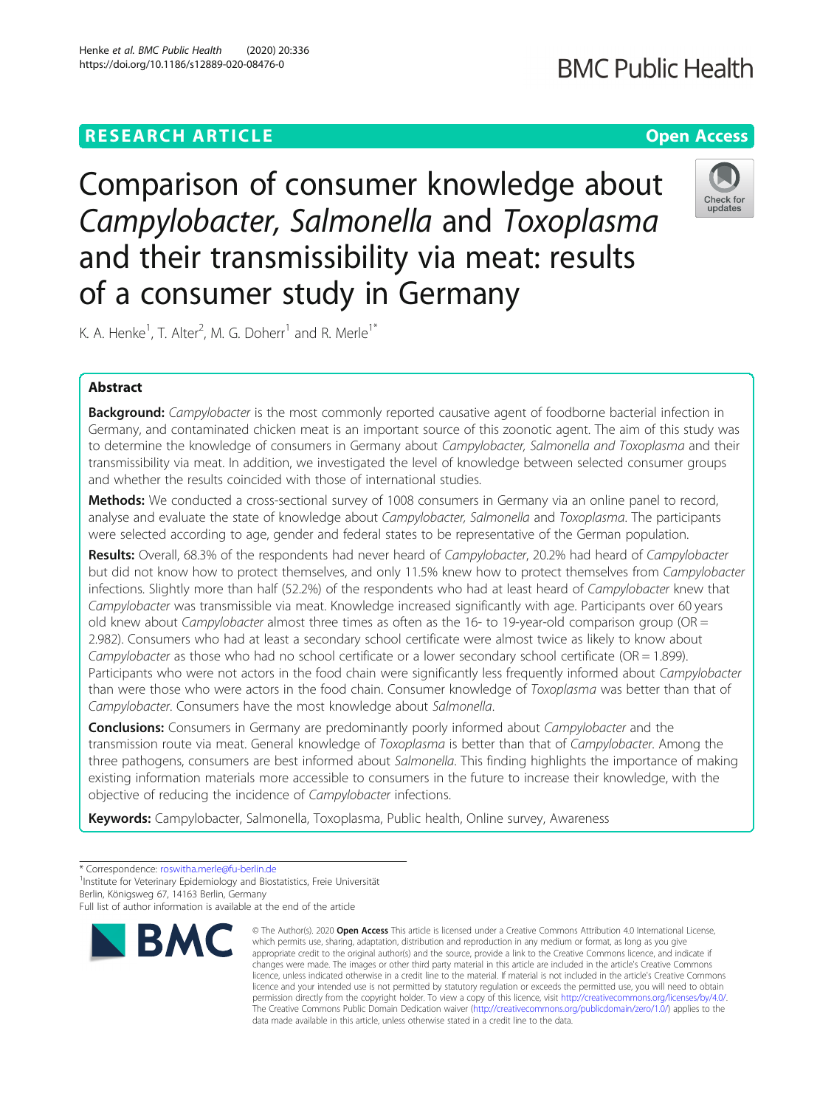# **RESEARCH ARTICLE Example 2014 12:30 The Contract of Contract ACCESS**

# Comparison of consumer knowledge about Campylobacter, Salmonella and Toxoplasma and their transmissibility via meat: results of a consumer study in Germany

K. A. Henke<sup>1</sup>, T. Alter<sup>2</sup>, M. G. Doherr<sup>1</sup> and R. Merle<sup>1\*</sup>

# Abstract

Background: Campylobacter is the most commonly reported causative agent of foodborne bacterial infection in Germany, and contaminated chicken meat is an important source of this zoonotic agent. The aim of this study was to determine the knowledge of consumers in Germany about Campylobacter, Salmonella and Toxoplasma and their transmissibility via meat. In addition, we investigated the level of knowledge between selected consumer groups and whether the results coincided with those of international studies.

Methods: We conducted a cross-sectional survey of 1008 consumers in Germany via an online panel to record, analyse and evaluate the state of knowledge about Campylobacter, Salmonella and Toxoplasma. The participants were selected according to age, gender and federal states to be representative of the German population.

Results: Overall, 68.3% of the respondents had never heard of Campylobacter, 20.2% had heard of Campylobacter but did not know how to protect themselves, and only 11.5% knew how to protect themselves from Campylobacter infections. Slightly more than half (52.2%) of the respondents who had at least heard of Campylobacter knew that Campylobacter was transmissible via meat. Knowledge increased significantly with age. Participants over 60 years old knew about Campylobacter almost three times as often as the 16- to 19-year-old comparison group (OR  $=$ 2.982). Consumers who had at least a secondary school certificate were almost twice as likely to know about Campylobacter as those who had no school certificate or a lower secondary school certificate ( $OR = 1.899$ ). Participants who were not actors in the food chain were significantly less frequently informed about Campylobacter than were those who were actors in the food chain. Consumer knowledge of Toxoplasma was better than that of Campylobacter. Consumers have the most knowledge about Salmonella.

**Conclusions:** Consumers in Germany are predominantly poorly informed about *Campylobacter* and the transmission route via meat. General knowledge of Toxoplasma is better than that of Campylobacter. Among the three pathogens, consumers are best informed about Salmonella. This finding highlights the importance of making existing information materials more accessible to consumers in the future to increase their knowledge, with the objective of reducing the incidence of Campylobacter infections.

Keywords: Campylobacter, Salmonella, Toxoplasma, Public health, Online survey, Awareness

<sup>1</sup> Institute for Veterinary Epidemiology and Biostatistics, Freie Universität

Berlin, Königsweg 67, 14163 Berlin, Germany

**BMC** 

data made available in this article, unless otherwise stated in a credit line to the data.

© The Author(s), 2020 **Open Access** This article is licensed under a Creative Commons Attribution 4.0 International License, which permits use, sharing, adaptation, distribution and reproduction in any medium or format, as long as you give



<sup>\*</sup> Correspondence: [roswitha.merle@fu-berlin.de](mailto:roswitha.merle@fu-berlin.de) <sup>1</sup>

Full list of author information is available at the end of the article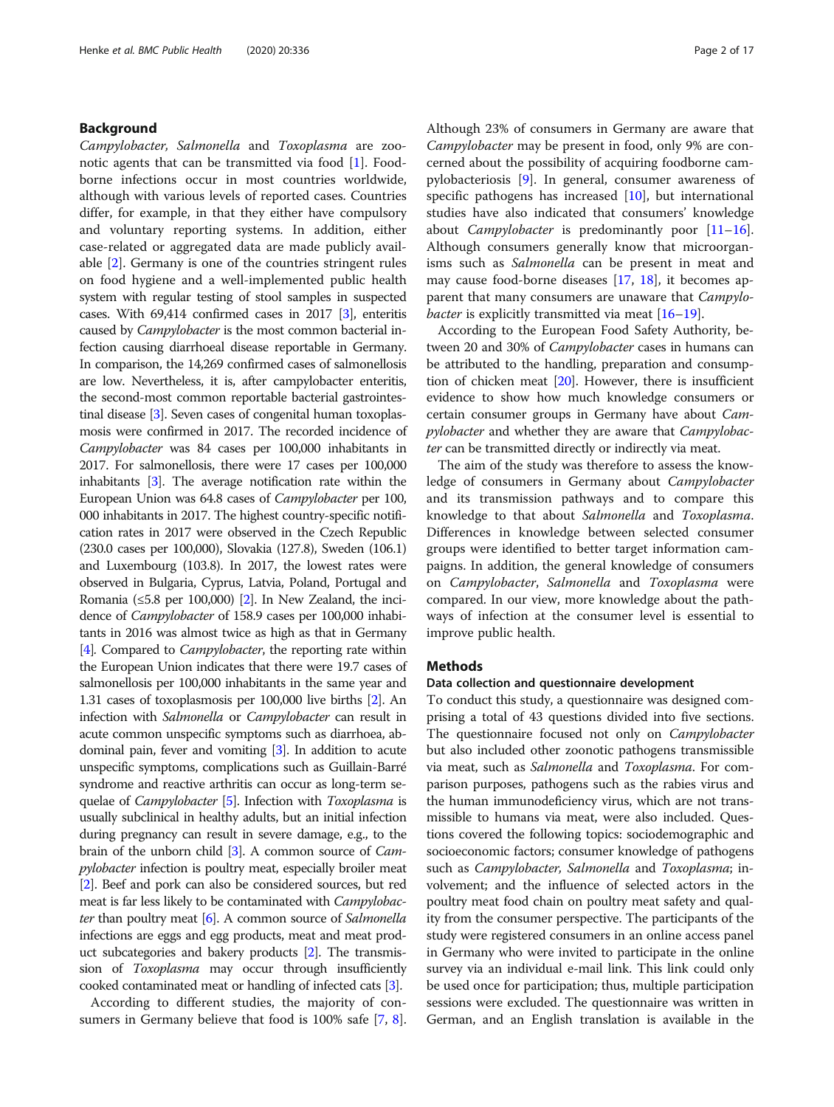# Background

Campylobacter, Salmonella and Toxoplasma are zoonotic agents that can be transmitted via food [[1](#page-14-0)]. Foodborne infections occur in most countries worldwide, although with various levels of reported cases. Countries differ, for example, in that they either have compulsory and voluntary reporting systems. In addition, either case-related or aggregated data are made publicly available [[2\]](#page-14-0). Germany is one of the countries stringent rules on food hygiene and a well-implemented public health system with regular testing of stool samples in suspected cases. With 69,414 confirmed cases in 2017 [[3\]](#page-14-0), enteritis caused by Campylobacter is the most common bacterial infection causing diarrhoeal disease reportable in Germany. In comparison, the 14,269 confirmed cases of salmonellosis are low. Nevertheless, it is, after campylobacter enteritis, the second-most common reportable bacterial gastrointestinal disease [[3](#page-14-0)]. Seven cases of congenital human toxoplasmosis were confirmed in 2017. The recorded incidence of Campylobacter was 84 cases per 100,000 inhabitants in 2017. For salmonellosis, there were 17 cases per 100,000 inhabitants [\[3\]](#page-14-0). The average notification rate within the European Union was 64.8 cases of Campylobacter per 100, 000 inhabitants in 2017. The highest country-specific notification rates in 2017 were observed in the Czech Republic (230.0 cases per 100,000), Slovakia (127.8), Sweden (106.1) and Luxembourg (103.8). In 2017, the lowest rates were observed in Bulgaria, Cyprus, Latvia, Poland, Portugal and Romania (≤5.8 per 100,000) [\[2\]](#page-14-0). In New Zealand, the incidence of Campylobacter of 158.9 cases per 100,000 inhabitants in 2016 was almost twice as high as that in Germany [[4](#page-14-0)]. Compared to *Campylobacter*, the reporting rate within the European Union indicates that there were 19.7 cases of salmonellosis per 100,000 inhabitants in the same year and 1.31 cases of toxoplasmosis per 100,000 live births [\[2\]](#page-14-0). An infection with Salmonella or Campylobacter can result in acute common unspecific symptoms such as diarrhoea, abdominal pain, fever and vomiting [\[3\]](#page-14-0). In addition to acute unspecific symptoms, complications such as Guillain-Barré syndrome and reactive arthritis can occur as long-term sequelae of *Campylobacter* [[5](#page-15-0)]. Infection with *Toxoplasma* is usually subclinical in healthy adults, but an initial infection during pregnancy can result in severe damage, e.g., to the brain of the unborn child [\[3](#page-14-0)]. A common source of Campylobacter infection is poultry meat, especially broiler meat [[2](#page-14-0)]. Beef and pork can also be considered sources, but red meat is far less likely to be contaminated with Campylobacter than poultry meat [\[6\]](#page-15-0). A common source of Salmonella infections are eggs and egg products, meat and meat product subcategories and bakery products [[2\]](#page-14-0). The transmission of Toxoplasma may occur through insufficiently cooked contaminated meat or handling of infected cats [[3](#page-14-0)].

According to different studies, the majority of consumers in Germany believe that food is 100% safe [[7,](#page-15-0) [8](#page-15-0)]. Although 23% of consumers in Germany are aware that Campylobacter may be present in food, only 9% are concerned about the possibility of acquiring foodborne campylobacteriosis [\[9](#page-15-0)]. In general, consumer awareness of specific pathogens has increased [[10\]](#page-15-0), but international studies have also indicated that consumers' knowledge about *Campylobacter* is predominantly poor  $[11-16]$  $[11-16]$  $[11-16]$  $[11-16]$  $[11-16]$ . Although consumers generally know that microorganisms such as Salmonella can be present in meat and may cause food-borne diseases [\[17,](#page-15-0) [18\]](#page-15-0), it becomes apparent that many consumers are unaware that *Campylo*bacter is explicitly transmitted via meat [\[16](#page-15-0)–[19\]](#page-15-0).

According to the European Food Safety Authority, between 20 and 30% of *Campylobacter* cases in humans can be attributed to the handling, preparation and consumption of chicken meat [\[20](#page-15-0)]. However, there is insufficient evidence to show how much knowledge consumers or certain consumer groups in Germany have about Campylobacter and whether they are aware that Campylobacter can be transmitted directly or indirectly via meat.

The aim of the study was therefore to assess the knowledge of consumers in Germany about Campylobacter and its transmission pathways and to compare this knowledge to that about Salmonella and Toxoplasma. Differences in knowledge between selected consumer groups were identified to better target information campaigns. In addition, the general knowledge of consumers on Campylobacter, Salmonella and Toxoplasma were compared. In our view, more knowledge about the pathways of infection at the consumer level is essential to improve public health.

# Methods

#### Data collection and questionnaire development

To conduct this study, a questionnaire was designed comprising a total of 43 questions divided into five sections. The questionnaire focused not only on *Campylobacter* but also included other zoonotic pathogens transmissible via meat, such as Salmonella and Toxoplasma. For comparison purposes, pathogens such as the rabies virus and the human immunodeficiency virus, which are not transmissible to humans via meat, were also included. Questions covered the following topics: sociodemographic and socioeconomic factors; consumer knowledge of pathogens such as *Campylobacter*, *Salmonella* and *Toxoplasma*; involvement; and the influence of selected actors in the poultry meat food chain on poultry meat safety and quality from the consumer perspective. The participants of the study were registered consumers in an online access panel in Germany who were invited to participate in the online survey via an individual e-mail link. This link could only be used once for participation; thus, multiple participation sessions were excluded. The questionnaire was written in German, and an English translation is available in the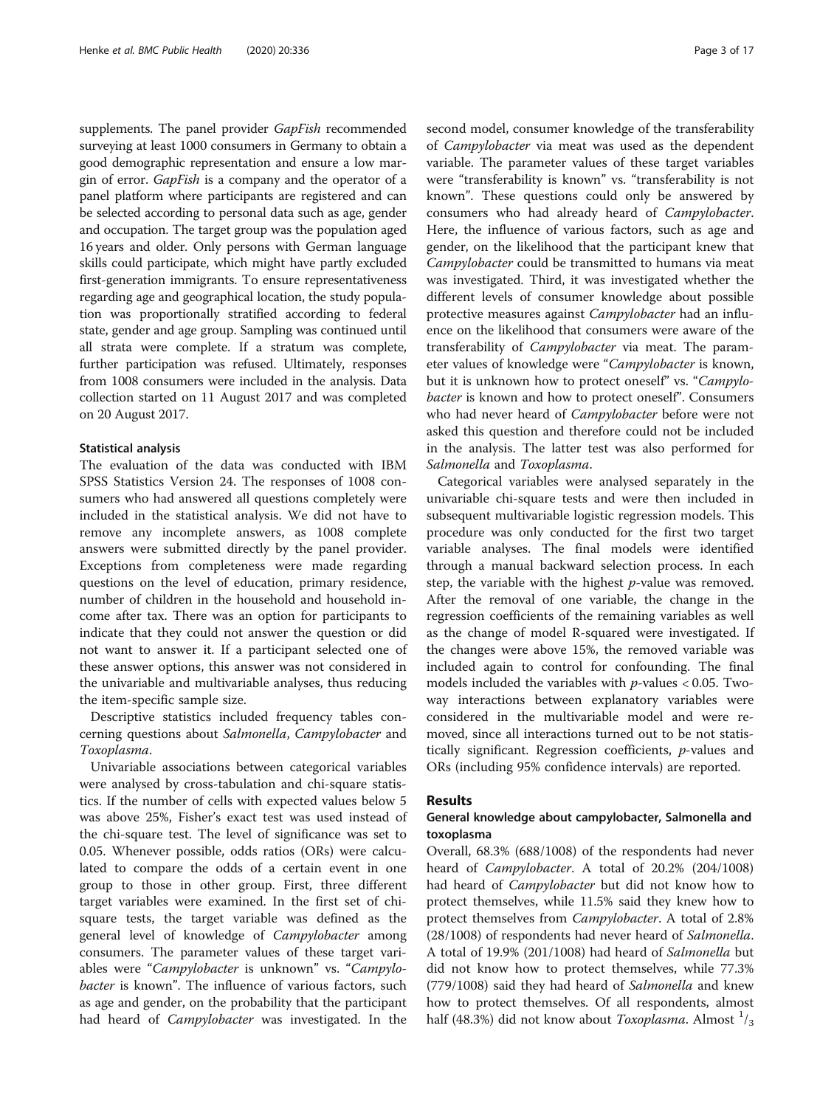supplements. The panel provider GapFish recommended surveying at least 1000 consumers in Germany to obtain a good demographic representation and ensure a low margin of error. GapFish is a company and the operator of a panel platform where participants are registered and can be selected according to personal data such as age, gender and occupation. The target group was the population aged 16 years and older. Only persons with German language skills could participate, which might have partly excluded first-generation immigrants. To ensure representativeness regarding age and geographical location, the study population was proportionally stratified according to federal state, gender and age group. Sampling was continued until all strata were complete. If a stratum was complete, further participation was refused. Ultimately, responses from 1008 consumers were included in the analysis. Data collection started on 11 August 2017 and was completed on 20 August 2017.

#### Statistical analysis

The evaluation of the data was conducted with IBM SPSS Statistics Version 24. The responses of 1008 consumers who had answered all questions completely were included in the statistical analysis. We did not have to remove any incomplete answers, as 1008 complete answers were submitted directly by the panel provider. Exceptions from completeness were made regarding questions on the level of education, primary residence, number of children in the household and household income after tax. There was an option for participants to indicate that they could not answer the question or did not want to answer it. If a participant selected one of these answer options, this answer was not considered in the univariable and multivariable analyses, thus reducing the item-specific sample size.

Descriptive statistics included frequency tables concerning questions about Salmonella, Campylobacter and Toxoplasma.

Univariable associations between categorical variables were analysed by cross-tabulation and chi-square statistics. If the number of cells with expected values below 5 was above 25%, Fisher's exact test was used instead of the chi-square test. The level of significance was set to 0.05. Whenever possible, odds ratios (ORs) were calculated to compare the odds of a certain event in one group to those in other group. First, three different target variables were examined. In the first set of chisquare tests, the target variable was defined as the general level of knowledge of Campylobacter among consumers. The parameter values of these target variables were "Campylobacter is unknown" vs. "Campylobacter is known". The influence of various factors, such as age and gender, on the probability that the participant had heard of *Campylobacter* was investigated. In the second model, consumer knowledge of the transferability of Campylobacter via meat was used as the dependent variable. The parameter values of these target variables were "transferability is known" vs. "transferability is not known". These questions could only be answered by consumers who had already heard of Campylobacter. Here, the influence of various factors, such as age and gender, on the likelihood that the participant knew that Campylobacter could be transmitted to humans via meat was investigated. Third, it was investigated whether the different levels of consumer knowledge about possible protective measures against Campylobacter had an influence on the likelihood that consumers were aware of the transferability of Campylobacter via meat. The parameter values of knowledge were "Campylobacter is known, but it is unknown how to protect oneself" vs. "Campylobacter is known and how to protect oneself". Consumers who had never heard of *Campylobacter* before were not asked this question and therefore could not be included in the analysis. The latter test was also performed for Salmonella and Toxoplasma.

Categorical variables were analysed separately in the univariable chi-square tests and were then included in subsequent multivariable logistic regression models. This procedure was only conducted for the first two target variable analyses. The final models were identified through a manual backward selection process. In each step, the variable with the highest  $p$ -value was removed. After the removal of one variable, the change in the regression coefficients of the remaining variables as well as the change of model R-squared were investigated. If the changes were above 15%, the removed variable was included again to control for confounding. The final models included the variables with  $p$ -values < 0.05. Twoway interactions between explanatory variables were considered in the multivariable model and were removed, since all interactions turned out to be not statistically significant. Regression coefficients, p-values and ORs (including 95% confidence intervals) are reported.

### Results

# General knowledge about campylobacter, Salmonella and toxoplasma

Overall, 68.3% (688/1008) of the respondents had never heard of Campylobacter. A total of 20.2% (204/1008) had heard of Campylobacter but did not know how to protect themselves, while 11.5% said they knew how to protect themselves from Campylobacter. A total of 2.8% (28/1008) of respondents had never heard of Salmonella. A total of 19.9% (201/1008) had heard of Salmonella but did not know how to protect themselves, while 77.3% (779/1008) said they had heard of Salmonella and knew how to protect themselves. Of all respondents, almost half (48.3%) did not know about *Toxoplasma*. Almost  $\frac{1}{3}$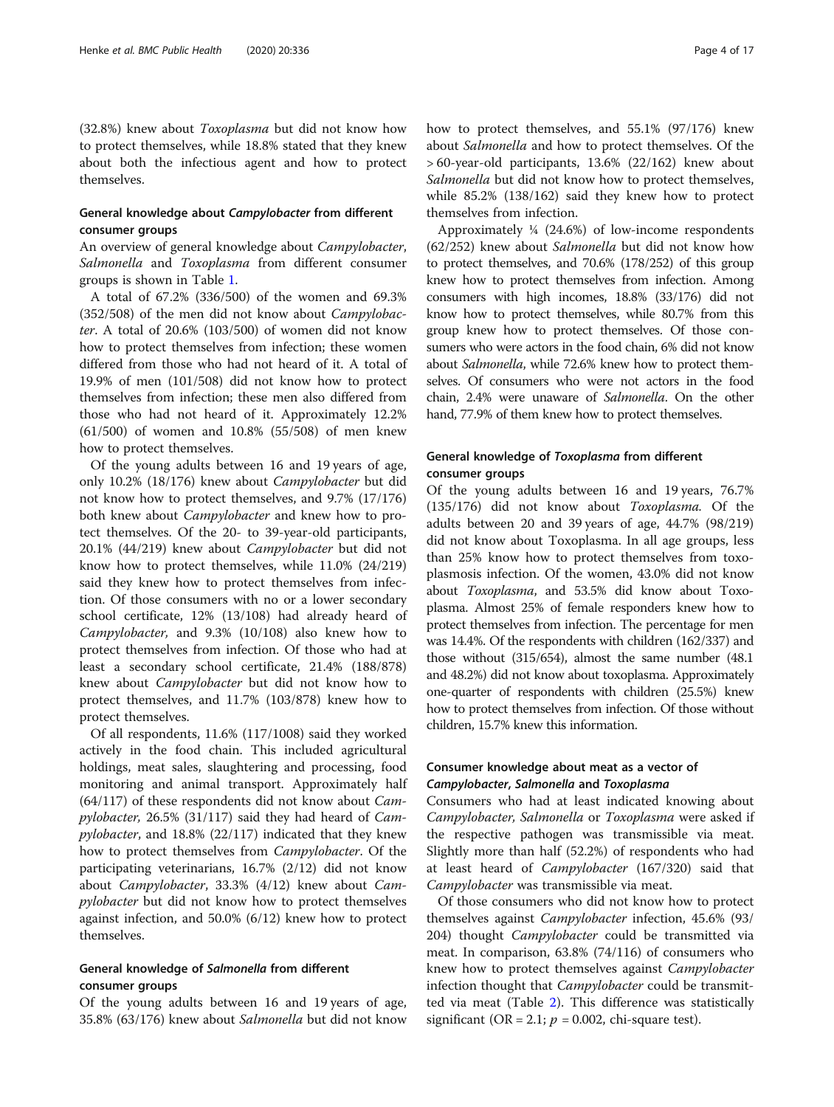(32.8%) knew about Toxoplasma but did not know how to protect themselves, while 18.8% stated that they knew about both the infectious agent and how to protect themselves.

# General knowledge about Campylobacter from different consumer groups

An overview of general knowledge about Campylobacter, Salmonella and Toxoplasma from different consumer groups is shown in Table [1.](#page-4-0)

A total of 67.2% (336/500) of the women and 69.3% (352/508) of the men did not know about Campylobacter. A total of 20.6% (103/500) of women did not know how to protect themselves from infection; these women differed from those who had not heard of it. A total of 19.9% of men (101/508) did not know how to protect themselves from infection; these men also differed from those who had not heard of it. Approximately 12.2% (61/500) of women and 10.8% (55/508) of men knew how to protect themselves.

Of the young adults between 16 and 19 years of age, only 10.2% (18/176) knew about Campylobacter but did not know how to protect themselves, and 9.7% (17/176) both knew about *Campylobacter* and knew how to protect themselves. Of the 20- to 39-year-old participants, 20.1% (44/219) knew about Campylobacter but did not know how to protect themselves, while 11.0% (24/219) said they knew how to protect themselves from infection. Of those consumers with no or a lower secondary school certificate, 12% (13/108) had already heard of Campylobacter, and 9.3% (10/108) also knew how to protect themselves from infection. Of those who had at least a secondary school certificate, 21.4% (188/878) knew about Campylobacter but did not know how to protect themselves, and 11.7% (103/878) knew how to protect themselves.

Of all respondents, 11.6% (117/1008) said they worked actively in the food chain. This included agricultural holdings, meat sales, slaughtering and processing, food monitoring and animal transport. Approximately half (64/117) of these respondents did not know about Campylobacter, 26.5% (31/117) said they had heard of Campylobacter, and 18.8% (22/117) indicated that they knew how to protect themselves from Campylobacter. Of the participating veterinarians, 16.7% (2/12) did not know about Campylobacter, 33.3% (4/12) knew about Campylobacter but did not know how to protect themselves against infection, and 50.0% (6/12) knew how to protect themselves.

# General knowledge of Salmonella from different consumer groups

Of the young adults between 16 and 19 years of age, 35.8% (63/176) knew about Salmonella but did not know how to protect themselves, and 55.1% (97/176) knew about Salmonella and how to protect themselves. Of the > 60-year-old participants, 13.6% (22/162) knew about Salmonella but did not know how to protect themselves, while 85.2% (138/162) said they knew how to protect themselves from infection.

Approximately ¼ (24.6%) of low-income respondents (62/252) knew about Salmonella but did not know how to protect themselves, and 70.6% (178/252) of this group knew how to protect themselves from infection. Among consumers with high incomes, 18.8% (33/176) did not know how to protect themselves, while 80.7% from this group knew how to protect themselves. Of those consumers who were actors in the food chain, 6% did not know about Salmonella, while 72.6% knew how to protect themselves. Of consumers who were not actors in the food chain, 2.4% were unaware of Salmonella. On the other hand, 77.9% of them knew how to protect themselves.

# General knowledge of Toxoplasma from different consumer groups

Of the young adults between 16 and 19 years, 76.7% (135/176) did not know about Toxoplasma. Of the adults between 20 and 39 years of age, 44.7% (98/219) did not know about Toxoplasma. In all age groups, less than 25% know how to protect themselves from toxoplasmosis infection. Of the women, 43.0% did not know about Toxoplasma, and 53.5% did know about Toxoplasma. Almost 25% of female responders knew how to protect themselves from infection. The percentage for men was 14.4%. Of the respondents with children (162/337) and those without (315/654), almost the same number (48.1 and 48.2%) did not know about toxoplasma. Approximately one-quarter of respondents with children (25.5%) knew how to protect themselves from infection. Of those without children, 15.7% knew this information.

# Consumer knowledge about meat as a vector of Campylobacter, Salmonella and Toxoplasma

Consumers who had at least indicated knowing about Campylobacter, Salmonella or Toxoplasma were asked if the respective pathogen was transmissible via meat. Slightly more than half (52.2%) of respondents who had at least heard of Campylobacter (167/320) said that Campylobacter was transmissible via meat.

Of those consumers who did not know how to protect themselves against Campylobacter infection, 45.6% (93/ 204) thought *Campylobacter* could be transmitted via meat. In comparison, 63.8% (74/116) of consumers who knew how to protect themselves against Campylobacter infection thought that *Campylobacter* could be transmitted via meat (Table [2\)](#page-6-0). This difference was statistically significant (OR = 2.1;  $p = 0.002$ , chi-square test).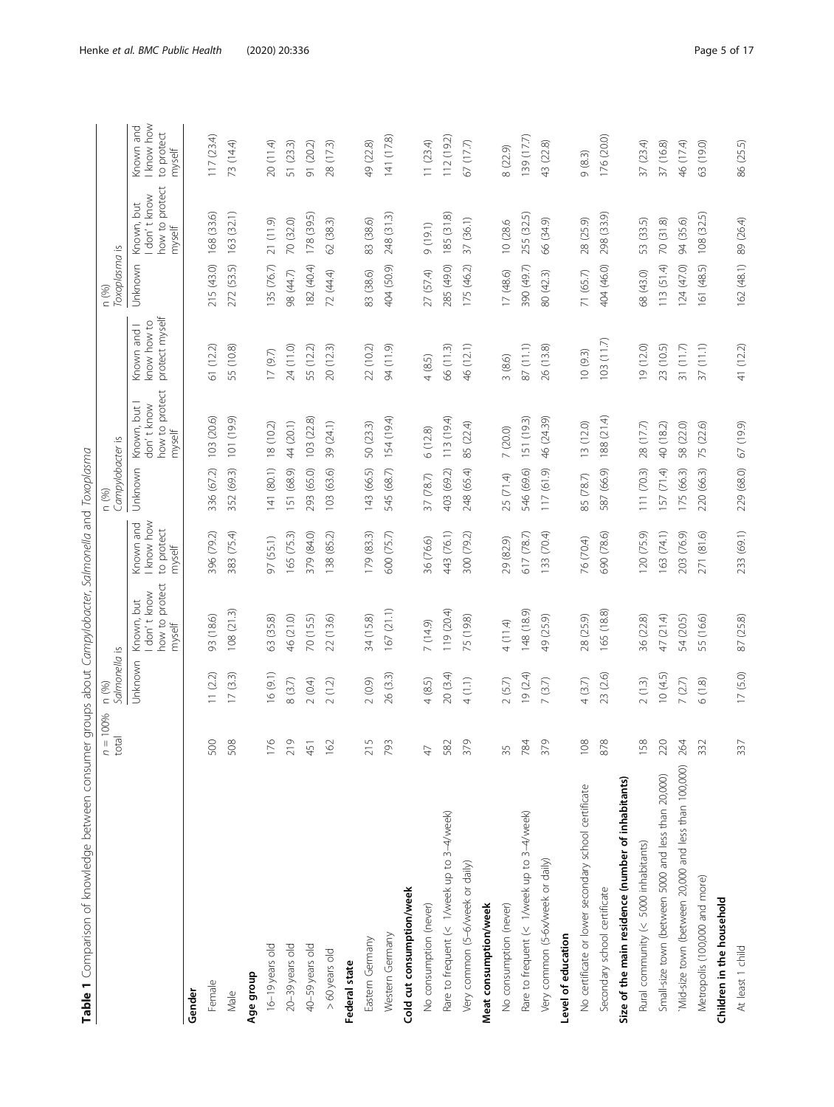| $\overline{\phantom{a}}$<br>I                          |
|--------------------------------------------------------|
| l<br>ł                                                 |
| ł<br>l<br>Ì<br>i<br>s<br>)<br>Ì                        |
| č<br>Ì<br>Ś<br>ì                                       |
| ξ<br>I<br>l<br>Ï<br>J                                  |
| l<br>١<br>٢<br>١                                       |
| 5<br>$\overline{ }$<br>i<br>J<br>l<br>Ξ<br>d<br>١<br>ļ |
| l<br>I<br>ì                                            |
| i<br>l<br>)<br>٢                                       |
|                                                        |
| ł<br>j<br>$\overline{\phantom{a}}$                     |
| able<br>ć<br>ŀ                                         |

<span id="page-4-0"></span>

|                                                       | $n = 100\%$ total | Salmonella is<br>n (%) |                                                        |                                                 | Campylobacter is<br>n (%) |                                                      |                                              | Toxoplasma is<br>n (%) |                                                        |                                                 |
|-------------------------------------------------------|-------------------|------------------------|--------------------------------------------------------|-------------------------------------------------|---------------------------|------------------------------------------------------|----------------------------------------------|------------------------|--------------------------------------------------------|-------------------------------------------------|
|                                                       |                   | Unknown                | how to protect<br>Known, but<br>I don't know<br>myself | I know how<br>Known and<br>to protect<br>myself | Unknown                   | how to protect<br>don't know<br>Known, but<br>myself | protect myself<br>know how to<br>Known and I | Unknown                | how to protect<br>I don't know<br>Known, but<br>myself | I know how<br>Known and<br>to protect<br>myself |
| Gender                                                |                   |                        |                                                        |                                                 |                           |                                                      |                                              |                        |                                                        |                                                 |
| Female                                                | 500               | 11(2.2)                | 93 (18.6)                                              | 396 (79.2)                                      | 336 (67.2)                | 103 (20.6)                                           | 61 (12.2)                                    | 215 (43.0)             | 168 (33.6)                                             | 117(23.4)                                       |
| Male                                                  | 508               | 17(3.3)                | 108(21.3)                                              | 383 (75.4)                                      | 352 (69.3)                | 101 (19.9)                                           | 55 (10.8)                                    | 272 (53.5)             | 163 (32.1)                                             | 73 (14.4)                                       |
| Age group                                             |                   |                        |                                                        |                                                 |                           |                                                      |                                              |                        |                                                        |                                                 |
| 16-19 years old                                       | 176               | 16(9.1)                | 53 (35.8)                                              | 97 (55.1)                                       | 141 (80.1)                | 18 (10.2)                                            | 17(9.7)                                      | 135 (76.7)             | 21 (11.9)                                              | 20 (11.4)                                       |
| 20-39 years old                                       | 219               | 8(3.7)                 | 46 (21.0)                                              | 165 (75.3)                                      | (68.9)<br>151             | 44 (20.1)                                            | 24 (11.0)                                    | 98 (44.7)              | 70 (32.0)                                              | 51 (23.3)                                       |
| 40-59 years old                                       | 451               | 2(0.4)                 | 70 (15.5)                                              | 379 (84.0)                                      | 293 (65.0)                | 103 (22.8)                                           | 55 (12.2)                                    | 182 (40.4)             | 178 (39.5)                                             | 91 (20.2)                                       |
| > 60 years old                                        | 162               | (1.2)<br>$\sim$        | 22 (13.6)                                              | 138 (85.2)                                      | (63.6)<br>103             | 39 (24.1)                                            | 20 (12.3)                                    | 72 (44.4)              | 62 (38.3)                                              | 28 (17.3)                                       |
| Federal state                                         |                   |                        |                                                        |                                                 |                           |                                                      |                                              |                        |                                                        |                                                 |
| Eastern Germany                                       | 215               | 2(0.9)                 | 34 (15.8)                                              | 179 (83.3)                                      | 143 (66.5)                | 50 (23.3)                                            | 22 (10.2)                                    | 83 (38.6)              | 83 (38.6)                                              | 49 (22.8)                                       |
| Western Germany                                       | 793               | 26(3.3)                | 167(21.1)                                              | 600 (75.7)                                      | 545 (68.7)                | 154 (19.4)                                           | 94 (11.9)                                    | 404 (50.9)             | 248 (31.3)                                             | 141 (17.8)                                      |
| Cold cut consumption/week                             |                   |                        |                                                        |                                                 |                           |                                                      |                                              |                        |                                                        |                                                 |
| No consumption (never)                                | $\overline{4}$    | 4(8.5)                 | 7 (14.9)                                               | 36 (76.6)                                       | 37 (78.7)                 | 6(12.8)                                              | 4(8.5)                                       | 27 (57.4)              | 9(19.1)                                                | 11(23.4)                                        |
| Rare to frequent (< 1/week up to 3-4/week)            | 582               | 20 (3.4)               | 119 (20.4)                                             | 443 (76.1)                                      | 403 (69.2)                | 113(19.4)                                            | 66 (11.3)                                    | 285 (49.0)             | 185(31.8)                                              | 112 (192)                                       |
| Very common (5-6/week or daily)                       | 379               | 4(1.1)                 | 75 (19.8)                                              | 300 (79.2)                                      | 248 (65.4)                | 85 (22.4)                                            | 46 (12.1)                                    | 175 (46.2)             | 37 (36.1)                                              | 67 (17.7)                                       |
| Meat consumption/week                                 |                   |                        |                                                        |                                                 |                           |                                                      |                                              |                        |                                                        |                                                 |
| No consumption (never)                                | 35                | 2(5.7)                 | 4 (11.4)                                               | 29 (82.9)                                       | 25 (71.4)                 | 7 (20.0)                                             | 3(8.6)                                       | 17 (48.6)              | 10 (28.6                                               | 8 (22.9)                                        |
| Rare to frequent (< 1/week up to 3-4/week)            | 784               | 19 (2.4)               | 148 (18.9)                                             | 617 (78.7)                                      | 546 (69.6)                | 151 (19.3)                                           | 87 (11.1)                                    | 390 (49.7)             | 255 (32.5)                                             | 139 (17.7)                                      |
| Very common (5-6x/week or daily)                      | 379               | $7(3.7)$               | 49 (25.9)                                              | 133 (70.4)                                      | 117 (61.9)                | 46 (24.39)                                           | 26 (13.8)                                    | 80 (42.3)              | 66 (34.9)                                              | 43 (22.8)                                       |
| Level of education                                    |                   |                        |                                                        |                                                 |                           |                                                      |                                              |                        |                                                        |                                                 |
| No certificate or lower secondary school certificate  | 108               | 4(3.7)                 | 28 (25.9)                                              | 76 (70.4)                                       | 85 (78.7)                 | 13 (12.0)                                            | 10(9.3)                                      | 71 (65.7)              | 28 (25.9)                                              | 9(8.3)                                          |
| Secondary school certificate                          | 878               | 23 (2.6)               | 165 (18.8)                                             | 690 (78.6)                                      | 587 (66.9)                | 188(21.4)                                            | 103(11.7)                                    | 404 (46.0)             | 298 (33.9)                                             | 176 (20.0)                                      |
| Size of the main residence (number of inhabitants)    |                   |                        |                                                        |                                                 |                           |                                                      |                                              |                        |                                                        |                                                 |
| Rural community (< 5000 inhabitants)                  | 158               | 2(1.3)                 | 36 (22.8)                                              | 120 (75.9)                                      | 111 (70.3)                | 28 (17.7)                                            | 19 (12.0)                                    | 68 (43.0)              | 53 (33.5)                                              | 37 (23.4)                                       |
| Small-size town (between 5000 and less than 20,000)   | 220               | 10(4.5)                | 47 (21.4)                                              | 163 (74.1)                                      | 157 (71.4)                | 40 (18.2)                                            | 23 (10.5)                                    | 113(51.4)              | 70 (31.8)                                              | 37 (16.8)                                       |
| 'Mid-size town (between 20,000 and less than 100,000) | 264               | 7(2.7)                 | 54 (20.5)                                              | 203 (76.9)                                      | 175 (66.3)                | 58 (22.0)                                            | 31(11.7)                                     | 124(470)               | 94 (35.6)                                              | 46 (17.4)                                       |
| Metropolis (100,000 and more)                         | 332               | 6(1.8)                 | 55 (16.6)                                              | 271 (81.6)                                      | 220 (66.3)                | 75 (22.6)                                            | 37(11.1)                                     | 161 (48.5)             | 108 (32.5)                                             | 63 (19.0)                                       |
| Children in the household                             |                   |                        |                                                        |                                                 |                           |                                                      |                                              |                        |                                                        |                                                 |
| At least 1 child                                      | 337               | 17(5.0)                | 87 (25.8)                                              | 233 (69.1)                                      | 229 (68.0)                | 67 (199)                                             | 41 (12.2)                                    | 162 (48.1)             | 89 (26.4)                                              | 86 (25.5)                                       |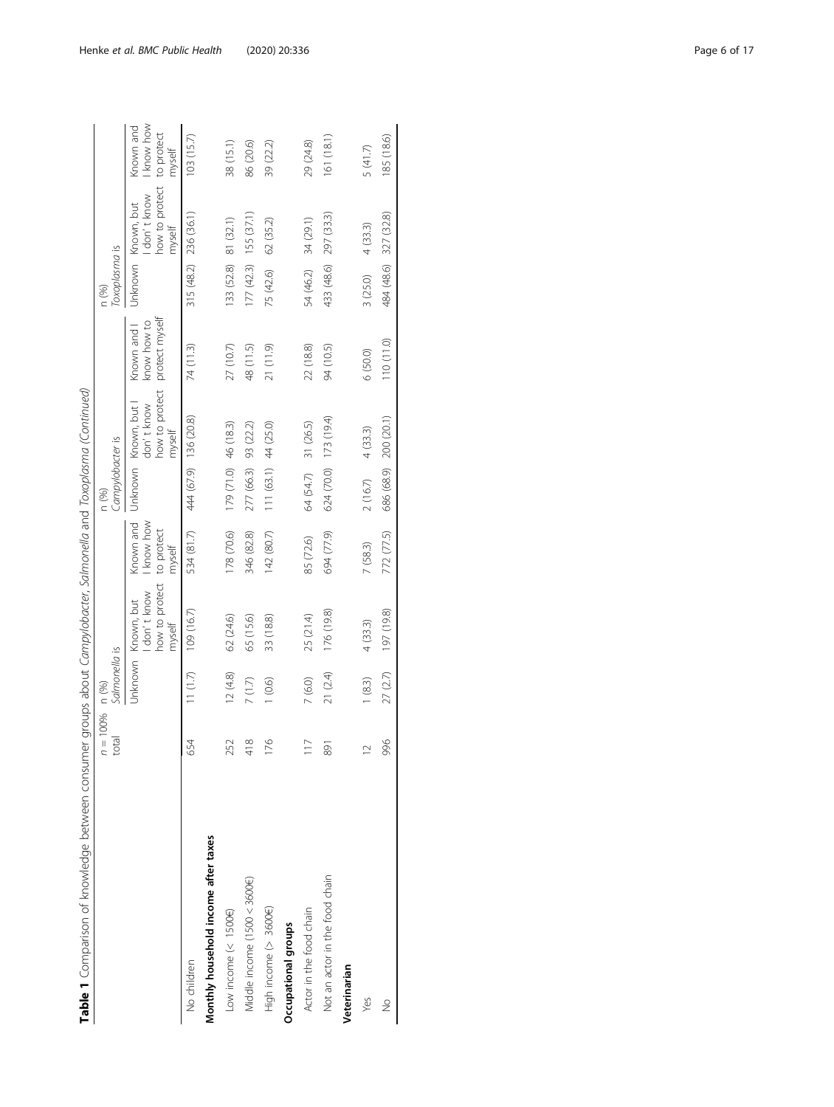|                                                                                                                                                                                                                                | ļ           |
|--------------------------------------------------------------------------------------------------------------------------------------------------------------------------------------------------------------------------------|-------------|
| 5<br>١<br>i                                                                                                                                                                                                                    |             |
| ׇ֚֬֓֕֓֡֡֡<br>l<br>j<br>I<br>j                                                                                                                                                                                                  |             |
| ن<br>بہ                                                                                                                                                                                                                        | í.          |
| ia hativiaan conclimar arolin<br>Ĵ<br>$\overline{ }$<br> <br> <br> <br> <br> <br> <br> <br>נת האבצע ה<br>l<br>$\mathbf{r}$<br>֖֖֖֖֖֖֖֖֖֖֖֧֖֧֚֚֚֚֚֚֚֚֚֚֚֚֚֚֚֚֚֚֚֚֚֚֚֚֚֡֬֝֬֝֓֞֡֓֬֝֓֞֡֬֓֞֡֬֓֞֡֞֞֞֝֬<br>j<br>Ì<br>I<br>١<br>l<br>I | .<br>.<br>. |
|                                                                                                                                                                                                                                |             |

|                                      | $n = 100\%$<br>total | Salmonella is<br>n (%) |                                                                |                                               | Campylobacter is<br>n (%) |                                                        |                                            | Toxoplasma is<br>n (%) |                                                                |                                                 |
|--------------------------------------|----------------------|------------------------|----------------------------------------------------------------|-----------------------------------------------|---------------------------|--------------------------------------------------------|--------------------------------------------|------------------------|----------------------------------------------------------------|-------------------------------------------------|
|                                      |                      |                        | how to protect<br>I don't know<br>Unknown Known, but<br>myself | know how<br>Known and<br>to protect<br>myself | Jnknown                   | how to protect<br>Known, but I<br>don't know<br>myself | protect myself<br>know how to<br>Known and |                        | how to protect<br>I don't know<br>Unknown Known, but<br>myself | I know how<br>Known and<br>to protect<br>myself |
| No children                          | 654                  | 11(1.7)                | 109 (16.7)                                                     | 534 (81.7)                                    | 444 (67.9) 136 (20.8)     |                                                        | 74 (11.3)                                  |                        | 315 (48.2) 236 (36.1)                                          | 103 (15.7)                                      |
| Monthly household income after taxes |                      |                        |                                                                |                                               |                           |                                                        |                                            |                        |                                                                |                                                 |
| Low income (< 1500€)                 | 252                  | 12(4.8)                | 62 (24.6)                                                      | 178 (70.6)                                    | $179(71.0)$ 46 (18.3)     |                                                        | 27 (10.7)                                  | 133 (52.8) 81 (32.1)   |                                                                | 38 (15.1)                                       |
| Middle income (1500 < 3600€)         | 418                  | 7(1.7)                 | 65 (15.6)                                                      | 346 (82.8)                                    | 277 (66.3) 93 (22.2)      |                                                        | 48 (11.5)                                  |                        | $177(423)$ 155 $(37.1)$                                        | 86 (20.6)                                       |
| High income (> 3600€)                | 176                  | (0.6)                  | 33 (18.8)                                                      | 142 (80.7)                                    | $11 (63.1)$ 44 (25.0)     |                                                        | 21 (11.9)                                  | 75 (42.6)              | 62 (35.2)                                                      | 39 (22.2)                                       |
| Occupational groups                  |                      |                        |                                                                |                                               |                           |                                                        |                                            |                        |                                                                |                                                 |
| Actor in the food chain              | Ξ                    | 7(6.0)                 | 25 (21.4)                                                      | 85 (72.6)                                     | 64 (54.7)                 | 31 (26.5)                                              | 22 (18.8)                                  | 54 (46.2)              | 34 (29.1)                                                      | 29 (24.8)                                       |
| Not an actor in the food chain       | 891                  | 21 (2.4)               | 176 (19.8)                                                     | 694 (77.9)                                    | 624 (70.0) 173 (19.4)     |                                                        | 94 (10.5)                                  | 433 (48.6)             | 297 (33.3)                                                     | 161 (18.1)                                      |
| Veterinarian                         |                      |                        |                                                                |                                               |                           |                                                        |                                            |                        |                                                                |                                                 |
| Yes                                  | $\overline{C}$       | 1(8.3)                 | 4(33.3)                                                        | 7(58.3)                                       | 2(16.7)                   | 4(33.3)                                                | 6(50.0)                                    | 3(25.0)                | 4 (33.3)                                                       | 5(41.7)                                         |
| $\frac{1}{2}$                        | 996                  | 27 (2.7)               | 197 (19.8)                                                     | 772 (77.5)                                    | 686 (68.9) 200 (20.1)     |                                                        | (0.110)                                    |                        | 484 (48.6) 327 (32.8)                                          | 185 (18.6)                                      |
|                                      |                      |                        |                                                                |                                               |                           |                                                        |                                            |                        |                                                                |                                                 |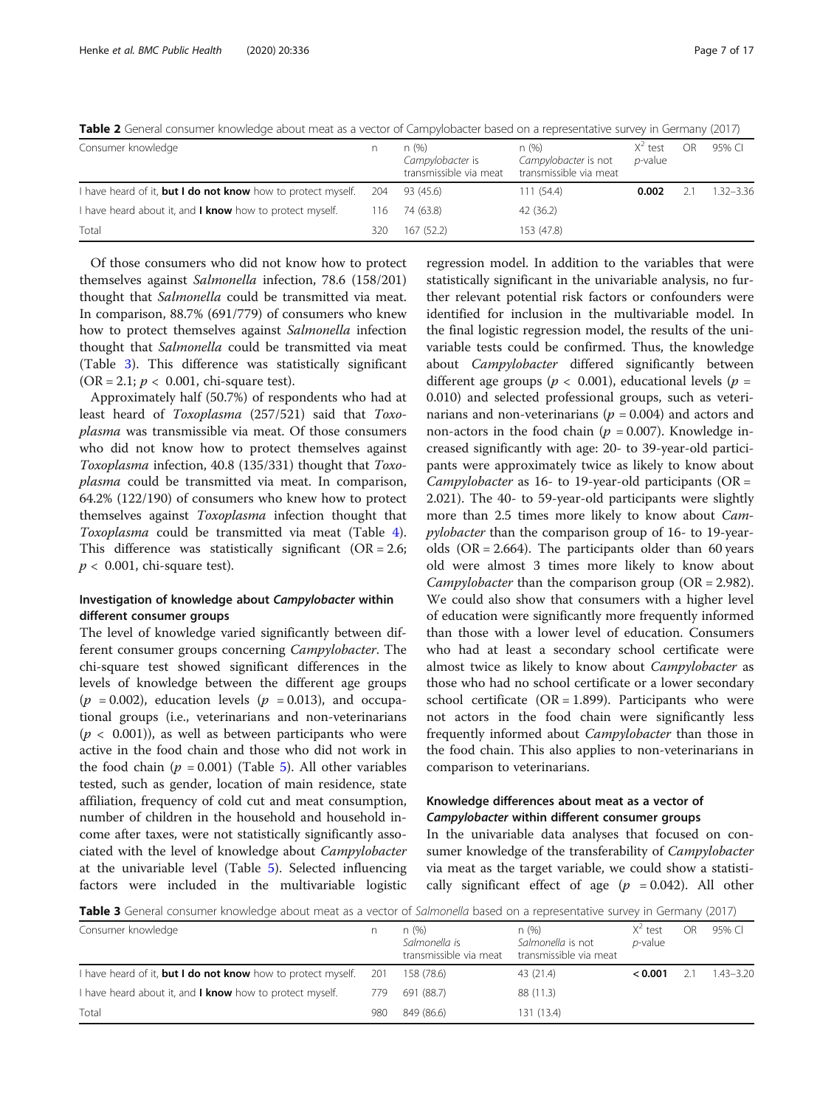| Consumer knowledge                                                  |       | n(%)<br>Campylobacter is<br>transmissible via meat | n(%)<br>Campylobacter is not<br>transmissible via meat | $X^2$ test<br>$p$ -value | ΟR | 95% CI        |
|---------------------------------------------------------------------|-------|----------------------------------------------------|--------------------------------------------------------|--------------------------|----|---------------|
| I have heard of it, <b>but I do not know</b> how to protect myself. | - 204 | 93 (45.6)                                          | 111(54.4)                                              | 0.002                    |    | $1.32 - 3.36$ |
| I have heard about it, and <b>I know</b> how to protect myself.     | 116   | 74 (63.8)                                          | 42 (36.2)                                              |                          |    |               |
| Total                                                               | 320   | 167(52.2)                                          | 153 (47.8)                                             |                          |    |               |

<span id="page-6-0"></span>Table 2 General consumer knowledge about meat as a vector of Campylobacter based on a representative survey in Germany (2017)

Of those consumers who did not know how to protect themselves against Salmonella infection, 78.6 (158/201) thought that Salmonella could be transmitted via meat. In comparison, 88.7% (691/779) of consumers who knew how to protect themselves against Salmonella infection thought that Salmonella could be transmitted via meat (Table 3). This difference was statistically significant (OR = 2.1;  $p < 0.001$ , chi-square test).

Approximately half (50.7%) of respondents who had at least heard of Toxoplasma (257/521) said that Toxoplasma was transmissible via meat. Of those consumers who did not know how to protect themselves against Toxoplasma infection, 40.8 (135/331) thought that Toxoplasma could be transmitted via meat. In comparison, 64.2% (122/190) of consumers who knew how to protect themselves against Toxoplasma infection thought that Toxoplasma could be transmitted via meat (Table [4](#page-7-0)). This difference was statistically significant ( $OR = 2.6$ ;  $p < 0.001$ , chi-square test).

# Investigation of knowledge about Campylobacter within different consumer groups

The level of knowledge varied significantly between different consumer groups concerning Campylobacter. The chi-square test showed significant differences in the levels of knowledge between the different age groups  $(p = 0.002)$ , education levels  $(p = 0.013)$ , and occupational groups (i.e., veterinarians and non-veterinarians  $(p < 0.001)$ , as well as between participants who were active in the food chain and those who did not work in the food chain ( $p = 0.001$ ) (Table [5\)](#page-8-0). All other variables tested, such as gender, location of main residence, state affiliation, frequency of cold cut and meat consumption, number of children in the household and household income after taxes, were not statistically significantly associated with the level of knowledge about Campylobacter at the univariable level (Table [5](#page-8-0)). Selected influencing factors were included in the multivariable logistic

regression model. In addition to the variables that were statistically significant in the univariable analysis, no further relevant potential risk factors or confounders were identified for inclusion in the multivariable model. In the final logistic regression model, the results of the univariable tests could be confirmed. Thus, the knowledge about Campylobacter differed significantly between different age groups ( $p < 0.001$ ), educational levels ( $p =$ 0.010) and selected professional groups, such as veterinarians and non-veterinarians ( $p = 0.004$ ) and actors and non-actors in the food chain ( $p = 0.007$ ). Knowledge increased significantly with age: 20- to 39-year-old participants were approximately twice as likely to know about Campylobacter as 16- to 19-year-old participants ( $OR =$ 2.021). The 40- to 59-year-old participants were slightly more than 2.5 times more likely to know about Campylobacter than the comparison group of 16- to 19-yearolds ( $OR = 2.664$ ). The participants older than 60 years old were almost 3 times more likely to know about *Campylobacter* than the comparison group ( $OR = 2.982$ ). We could also show that consumers with a higher level of education were significantly more frequently informed than those with a lower level of education. Consumers who had at least a secondary school certificate were almost twice as likely to know about Campylobacter as those who had no school certificate or a lower secondary school certificate ( $OR = 1.899$ ). Participants who were not actors in the food chain were significantly less frequently informed about Campylobacter than those in the food chain. This also applies to non-veterinarians in comparison to veterinarians.

# Knowledge differences about meat as a vector of Campylobacter within different consumer groups

In the univariable data analyses that focused on consumer knowledge of the transferability of *Campylobacter* via meat as the target variable, we could show a statistically significant effect of age  $(p = 0.042)$ . All other

Table 3 General consumer knowledge about meat as a vector of Salmonella based on a representative survey in Germany (2017)

| Consumer knowledge                                                      | n   | n(%)<br>Salmonella is<br>transmissible via meat | n(%)<br>Salmonella is not<br>transmissible via meat | $X^2$ test<br><i>p</i> -value | ΟR | 95% CL        |
|-------------------------------------------------------------------------|-----|-------------------------------------------------|-----------------------------------------------------|-------------------------------|----|---------------|
| I have heard of it, <b>but I do not know</b> how to protect myself. 201 |     | 158 (78.6)                                      | 43 (21.4)                                           | < 0.001                       |    | $1.43 - 3.20$ |
| I have heard about it, and <b>I know</b> how to protect myself.         | 779 | 691 (88.7)                                      | 88 (11.3)                                           |                               |    |               |
| Total                                                                   | 980 | 849 (86.6)                                      | 131 (13.4)                                          |                               |    |               |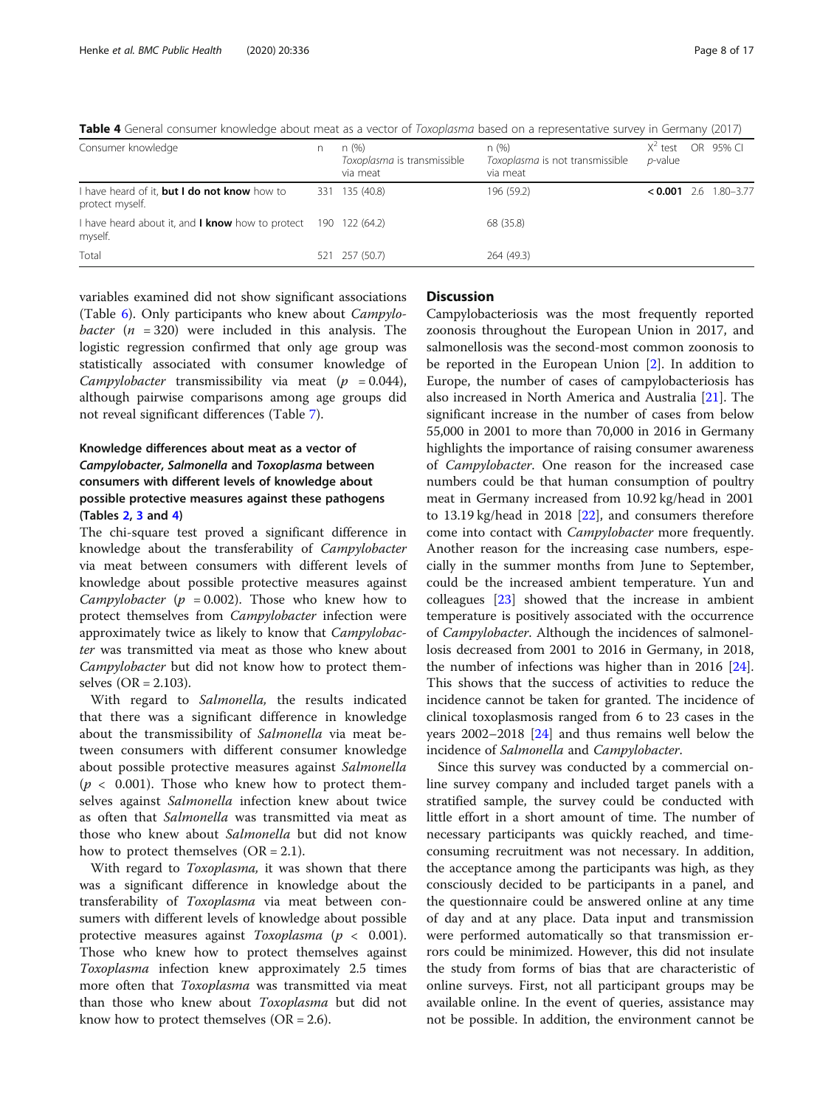| Consumer knowledge                                                                                        | n    | n (%)<br>Toxoplasma is transmissible<br>via meat | n(%)<br>Toxoplasma is not transmissible<br>via meat | $X^2$ test<br>$p$ -value | OR 95% CI     |
|-----------------------------------------------------------------------------------------------------------|------|--------------------------------------------------|-----------------------------------------------------|--------------------------|---------------|
| I have heard of it, <b>but I do not know</b> how to<br>protect myself.                                    |      | 331 135 (40.8)                                   | 196 (59.2)                                          | < 0.001                  | 2.6 1.80-3.77 |
| I have heard about it, and <b>I know</b> how to protect $\left( \frac{190}{22} \right)$ (64.2)<br>myself. |      |                                                  | 68 (35.8)                                           |                          |               |
| Total                                                                                                     | 521. | 257 (50.7)                                       | 264 (49.3)                                          |                          |               |

<span id="page-7-0"></span>Table 4 General consumer knowledge about meat as a vector of Toxoplasma based on a representative survey in Germany (2017)

variables examined did not show significant associations (Table [6\)](#page-10-0). Only participants who knew about Campylo*bacter* ( $n = 320$ ) were included in this analysis. The logistic regression confirmed that only age group was statistically associated with consumer knowledge of Campylobacter transmissibility via meat ( $p = 0.044$ ), although pairwise comparisons among age groups did not reveal significant differences (Table [7\)](#page-11-0).

# Knowledge differences about meat as a vector of Campylobacter, Salmonella and Toxoplasma between consumers with different levels of knowledge about possible protective measures against these pathogens (Tables [2,](#page-6-0) [3](#page-6-0) and 4)

The chi-square test proved a significant difference in knowledge about the transferability of Campylobacter via meat between consumers with different levels of knowledge about possible protective measures against *Campylobacter* ( $p = 0.002$ ). Those who knew how to protect themselves from Campylobacter infection were approximately twice as likely to know that Campylobacter was transmitted via meat as those who knew about Campylobacter but did not know how to protect themselves  $(OR = 2.103)$ .

With regard to Salmonella, the results indicated that there was a significant difference in knowledge about the transmissibility of Salmonella via meat between consumers with different consumer knowledge about possible protective measures against Salmonella ( $p < 0.001$ ). Those who knew how to protect themselves against Salmonella infection knew about twice as often that Salmonella was transmitted via meat as those who knew about Salmonella but did not know how to protect themselves  $(OR = 2.1)$ .

With regard to Toxoplasma, it was shown that there was a significant difference in knowledge about the transferability of Toxoplasma via meat between consumers with different levels of knowledge about possible protective measures against  $Toxoplasma$  ( $p < 0.001$ ). Those who knew how to protect themselves against Toxoplasma infection knew approximately 2.5 times more often that Toxoplasma was transmitted via meat than those who knew about Toxoplasma but did not know how to protect themselves  $(OR = 2.6)$ .

# **Discussion**

Campylobacteriosis was the most frequently reported zoonosis throughout the European Union in 2017, and salmonellosis was the second-most common zoonosis to be reported in the European Union [\[2](#page-14-0)]. In addition to Europe, the number of cases of campylobacteriosis has also increased in North America and Australia [[21\]](#page-15-0). The significant increase in the number of cases from below 55,000 in 2001 to more than 70,000 in 2016 in Germany highlights the importance of raising consumer awareness of Campylobacter. One reason for the increased case numbers could be that human consumption of poultry meat in Germany increased from 10.92 kg/head in 2001 to 13.19 kg/head in 2018  $[22]$  $[22]$  $[22]$ , and consumers therefore come into contact with Campylobacter more frequently. Another reason for the increasing case numbers, especially in the summer months from June to September, could be the increased ambient temperature. Yun and colleagues [[23](#page-15-0)] showed that the increase in ambient temperature is positively associated with the occurrence of Campylobacter. Although the incidences of salmonellosis decreased from 2001 to 2016 in Germany, in 2018, the number of infections was higher than in 2016 [\[24](#page-15-0)]. This shows that the success of activities to reduce the incidence cannot be taken for granted. The incidence of clinical toxoplasmosis ranged from 6 to 23 cases in the years 2002–2018 [\[24\]](#page-15-0) and thus remains well below the incidence of Salmonella and Campylobacter.

Since this survey was conducted by a commercial online survey company and included target panels with a stratified sample, the survey could be conducted with little effort in a short amount of time. The number of necessary participants was quickly reached, and timeconsuming recruitment was not necessary. In addition, the acceptance among the participants was high, as they consciously decided to be participants in a panel, and the questionnaire could be answered online at any time of day and at any place. Data input and transmission were performed automatically so that transmission errors could be minimized. However, this did not insulate the study from forms of bias that are characteristic of online surveys. First, not all participant groups may be available online. In the event of queries, assistance may not be possible. In addition, the environment cannot be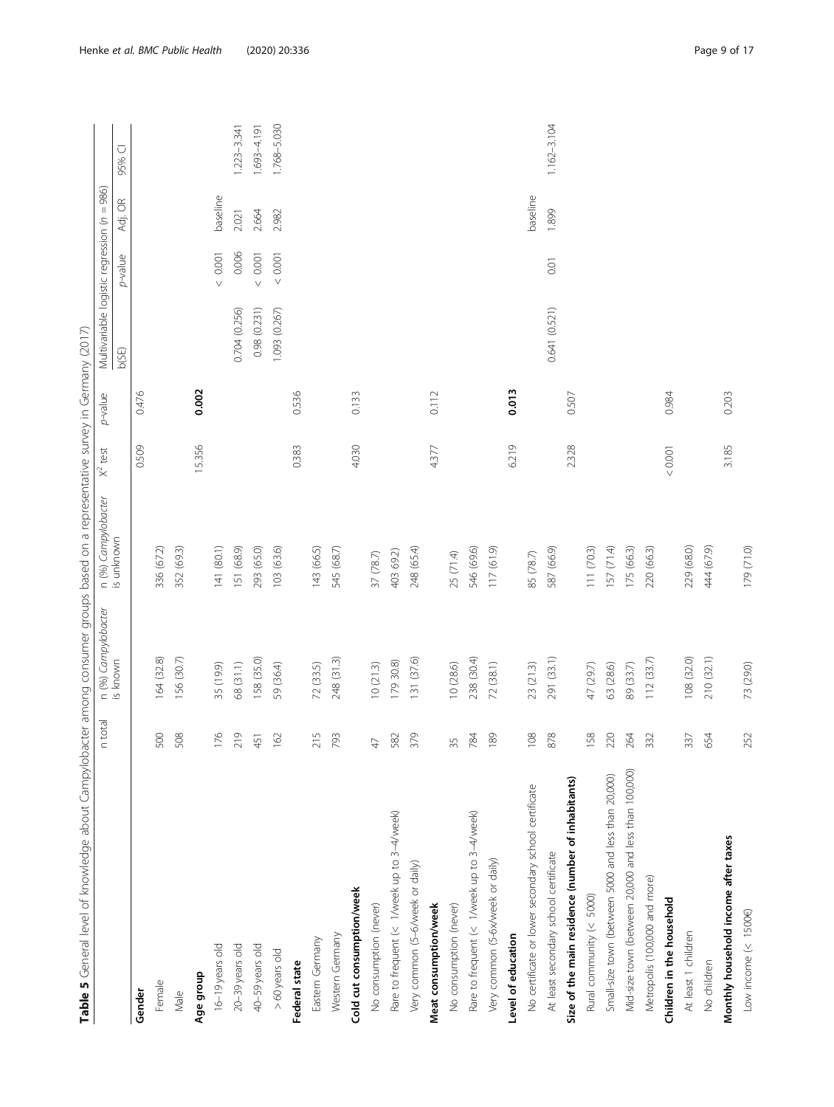<span id="page-8-0"></span>

|                                                      | n total | n (%) Campylobacter<br>is known | n (%) C <i>ampylobacter</i><br>is unknown | $X2$ test | p-value | Multivariable logistic regression (n = 986) |           |          |                 |
|------------------------------------------------------|---------|---------------------------------|-------------------------------------------|-----------|---------|---------------------------------------------|-----------|----------|-----------------|
|                                                      |         |                                 |                                           |           |         | b(SE)                                       | p-value   | Adj. OR  | 95% CI          |
| Gender                                               |         |                                 |                                           | 0.509     | 0.476   |                                             |           |          |                 |
| Female                                               | 500     | 164 (32.8)                      | 336 (67.2)                                |           |         |                                             |           |          |                 |
| Male                                                 | 508     | 156 (30.7)                      | 352 (69.3)                                |           |         |                                             |           |          |                 |
| Age group                                            |         |                                 |                                           | 15.356    | 0.002   |                                             |           |          |                 |
| 16-19 years old                                      | 176     | 35 (19.9)                       | 141 (80.1)                                |           |         |                                             | 0.001     | baseline |                 |
| 20-39 years old                                      | 219     | 68 (31.1)                       | 151 (68.9)                                |           |         | 0.704 (0.256)                               | 0.006     | 2.021    | $1.223 - 3.341$ |
| 40-59 years old                                      | 451     | 158 (35.0)                      | 293 (65.0)                                |           |         | 0.98(0.231)                                 | $<$ 0.001 | 2.664    | 1.693-4.191     |
| > 60 years old                                       | 162     | 59 (36.4)                       | 103 (63.6)                                |           |         | 1.093 (0.267)                               | $<0.001$  | 2.982    | 1.768-5.030     |
| Federal state                                        |         |                                 |                                           | 0.383     | 0.536   |                                             |           |          |                 |
| Eastern Germany                                      | 215     | 72 (33.5)                       | 143 (66.5)                                |           |         |                                             |           |          |                 |
| Western Germany                                      | 793     | 248 (31.3)                      | 545 (68.7)                                |           |         |                                             |           |          |                 |
| Cold cut consumption/week                            |         |                                 |                                           | 4.030     | 0.133   |                                             |           |          |                 |
| No consumption (never)                               | $47$    | 10(213)                         | 37(78.7)                                  |           |         |                                             |           |          |                 |
| Rare to frequent (< 1/week up to 3-4/week)           | 582     | 179 30.8)                       | 403 69.2)                                 |           |         |                                             |           |          |                 |
| Very common (5-6/week or daily)                      | 379     | 131 (37.6)                      | 248 (65.4)                                |           |         |                                             |           |          |                 |
| Meat consumption/week                                |         |                                 |                                           | 4.377     | 0.112   |                                             |           |          |                 |
| No consumption (never)                               | 35      | 10 (28.6)                       | 25 (71.4)                                 |           |         |                                             |           |          |                 |
| Rare to frequent (< 1/week up to 3-4/week)           | 784     | 238 (30.4)                      | 546 (69.6)                                |           |         |                                             |           |          |                 |
| Very common (5-6x/week or daily)                     | 189     | 72 (38.1)                       | 117(61.9)                                 |           |         |                                             |           |          |                 |
| Level of education                                   |         |                                 |                                           | 6.219     | 0.013   |                                             |           |          |                 |
| No certificate or lower secondary school certificate | 108     | 23 (21.3)                       | 85 (78.7)                                 |           |         |                                             |           | baseline |                 |
| At least secondary school certificate                | 878     | 291 (33.1)                      | 587 (66.9)                                |           |         | 0.641 (0.521)                               | 0.01      | 1.899    | $1.162 - 3.104$ |
| Size of the main residence (number of inhabitants)   |         |                                 |                                           | 2.328     | 0.507   |                                             |           |          |                 |
| Rural community (< 5000)                             | 158     | 47 (29.7)                       | 111(70.3)                                 |           |         |                                             |           |          |                 |
| Small-size town (between 5000 and less than 20,000)  | 220     | 63 (28.6)                       | 157 (71.4)                                |           |         |                                             |           |          |                 |
| Mid-size town (between 20,000 and less than 100,000) | 264     | 89 (33.7)                       | 175 (66.3)                                |           |         |                                             |           |          |                 |
| Metropolis (100,000 and more)                        | 332     | 112(33.7)                       | 220 (66.3)                                |           |         |                                             |           |          |                 |
| Children in the household                            |         |                                 |                                           | 10000     | 0.984   |                                             |           |          |                 |
| At least 1 children                                  | 337     | 108 (32.0)                      | 229 (68.0)                                |           |         |                                             |           |          |                 |
| No children                                          | 654     | 210 (32.1)                      | 444 (67.9)                                |           |         |                                             |           |          |                 |
| Monthly household income after taxes                 |         |                                 |                                           | 3.185     | 0.203   |                                             |           |          |                 |
| Low income (< 1500€)                                 | 252     | 73 (29.0)                       | 179 (71.0)                                |           |         |                                             |           |          |                 |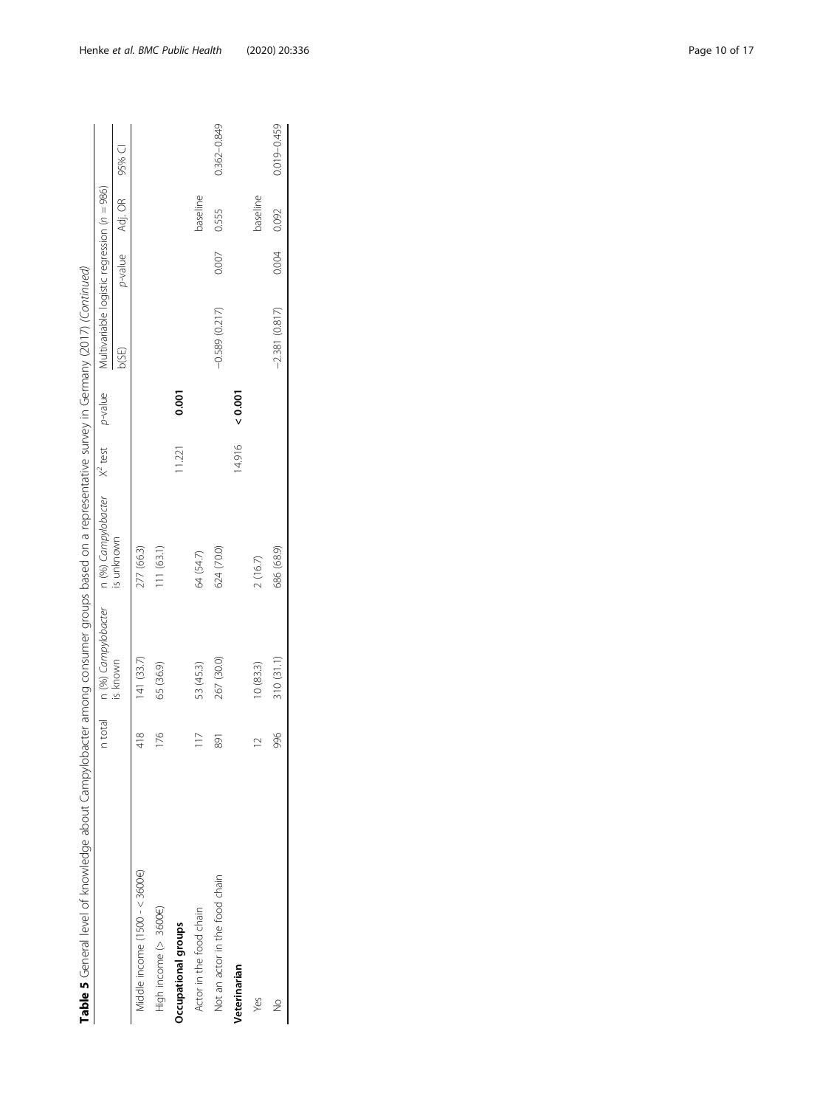| Table 5 General level of knowledge about Campylobacter among consumer groups based on a representative survey in Germany (2017) (Continued) |           |            |                                                                                                        |        |                  |                 |       |                 |             |
|---------------------------------------------------------------------------------------------------------------------------------------------|-----------|------------|--------------------------------------------------------------------------------------------------------|--------|------------------|-----------------|-------|-----------------|-------------|
|                                                                                                                                             | n total   |            | n (%) Campylobacter n (%) Campylobacter $X^2$ test p-value Multivariable logistic regression (n = 986) |        |                  |                 |       |                 |             |
|                                                                                                                                             |           | is known   | is unknown                                                                                             |        |                  | b(SE)           |       | p-value Adj. OR | 95% CI      |
| Middle income (1500 - < 3600€)                                                                                                              | 418       | 141(33.7)  | 277 (66.3)                                                                                             |        |                  |                 |       |                 |             |
| High income (> 3600€)                                                                                                                       | 176       | 65 (36.9)  | 111 (63.1)                                                                                             |        |                  |                 |       |                 |             |
| Occupational groups                                                                                                                         |           |            |                                                                                                        | 11.221 | 0.001            |                 |       |                 |             |
| Actor in the food chain                                                                                                                     | 117       | 53 (45.3)  | 64 (54.7)                                                                                              |        |                  |                 |       | baseline        |             |
| Not an actor in the food chain                                                                                                              | 891       | 267 (30.0) | 624 (70.0)                                                                                             |        |                  | $-0.589(0.217)$ | 0.007 | 0.555           | 0.362-0.849 |
| Veterinarian                                                                                                                                |           |            |                                                                                                        | 14.916 | $\frac{2000}{5}$ |                 |       |                 |             |
| Yes                                                                                                                                         | $\approx$ | 10(83.3)   | 2(16.7)                                                                                                |        |                  |                 |       | baseline        |             |
| ş                                                                                                                                           | 996       | 310 (31.1) | 686 (68.9)                                                                                             |        |                  | $-2.381(0.817)$ | 0.004 | 0.092           | 0.019-0.459 |
|                                                                                                                                             |           |            |                                                                                                        |        |                  |                 |       |                 |             |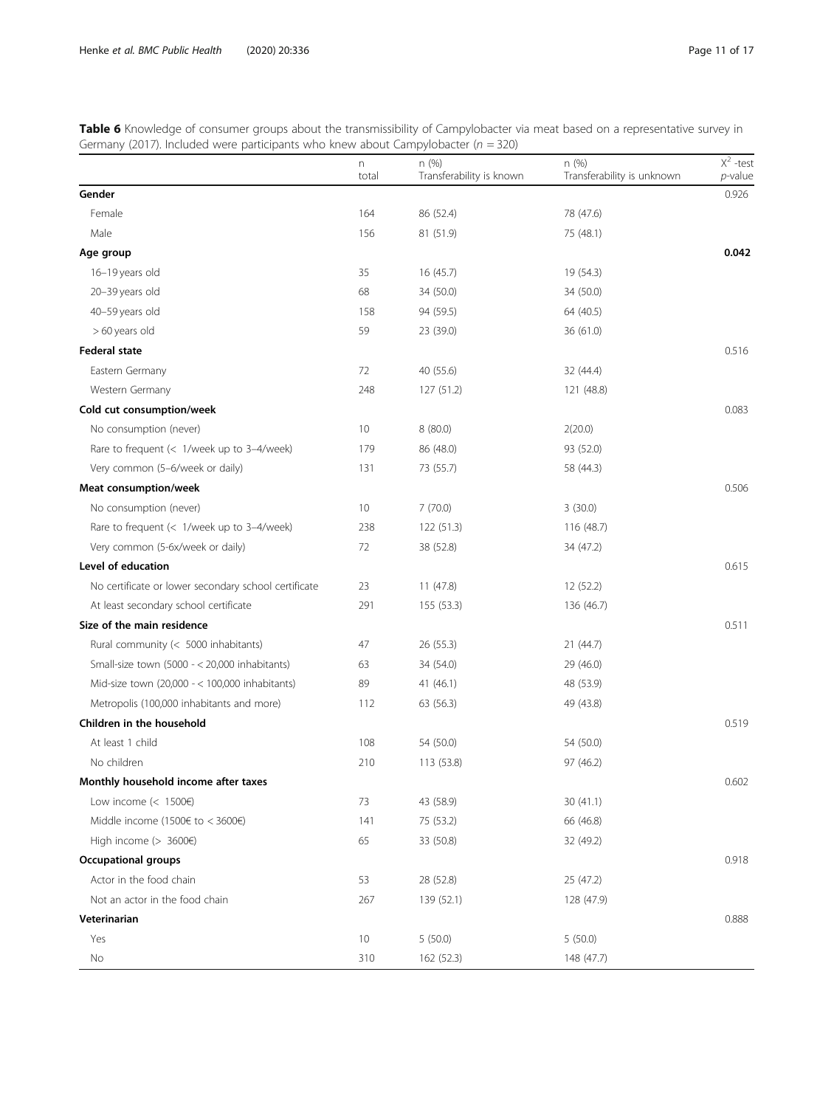<span id="page-10-0"></span>Table 6 Knowledge of consumer groups about the transmissibility of Campylobacter via meat based on a representative survey in Germany (2017). Included were participants who knew about Campylobacter ( $n = 320$ )

|                                                      | n<br>total | n(%)<br>Transferability is known | n(%)<br>Transferability is unknown | $\overline{X^2}$ -test<br>$p$ -value |
|------------------------------------------------------|------------|----------------------------------|------------------------------------|--------------------------------------|
| Gender                                               |            |                                  |                                    | 0.926                                |
| Female                                               | 164        | 86 (52.4)                        | 78 (47.6)                          |                                      |
| Male                                                 | 156        | 81 (51.9)                        | 75 (48.1)                          |                                      |
| Age group                                            |            |                                  |                                    | 0.042                                |
| 16-19 years old                                      | 35         | 16 (45.7)                        | 19 (54.3)                          |                                      |
| 20-39 years old                                      | 68         | 34 (50.0)                        | 34 (50.0)                          |                                      |
| 40-59 years old                                      | 158        | 94 (59.5)                        | 64 (40.5)                          |                                      |
| > 60 years old                                       | 59         | 23 (39.0)                        | 36 (61.0)                          |                                      |
| <b>Federal state</b>                                 |            |                                  |                                    | 0.516                                |
| Eastern Germany                                      | 72         | 40 (55.6)                        | 32 (44.4)                          |                                      |
| Western Germany                                      | 248        | 127 (51.2)                       | 121 (48.8)                         |                                      |
| Cold cut consumption/week                            |            |                                  |                                    | 0.083                                |
| No consumption (never)                               | 10         | 8(80.0)                          | 2(20.0)                            |                                      |
| Rare to frequent (< 1/week up to 3-4/week)           | 179        | 86 (48.0)                        | 93 (52.0)                          |                                      |
| Very common (5-6/week or daily)                      | 131        | 73 (55.7)                        | 58 (44.3)                          |                                      |
| Meat consumption/week                                |            |                                  |                                    | 0.506                                |
| No consumption (never)                               | 10         | 7(70.0)                          | 3(30.0)                            |                                      |
| Rare to frequent (< 1/week up to 3-4/week)           | 238        | 122 (51.3)                       | 116(48.7)                          |                                      |
| Very common (5-6x/week or daily)                     | 72         | 38 (52.8)                        | 34 (47.2)                          |                                      |
| Level of education                                   |            |                                  |                                    | 0.615                                |
| No certificate or lower secondary school certificate | 23         | 11(47.8)                         | 12 (52.2)                          |                                      |
| At least secondary school certificate                | 291        | 155 (53.3)                       | 136 (46.7)                         |                                      |
| Size of the main residence                           |            |                                  |                                    | 0.511                                |
| Rural community (< 5000 inhabitants)                 | 47         | 26 (55.3)                        | 21 (44.7)                          |                                      |
| Small-size town (5000 - < 20,000 inhabitants)        | 63         | 34 (54.0)                        | 29 (46.0)                          |                                      |
| Mid-size town (20,000 - < 100,000 inhabitants)       | 89         | 41 (46.1)                        | 48 (53.9)                          |                                      |
| Metropolis (100,000 inhabitants and more)            | 112        | 63 (56.3)                        | 49 (43.8)                          |                                      |
| Children in the household                            |            |                                  |                                    | 0.519                                |
| At least 1 child                                     | 108        | 54 (50.0)                        | 54 (50.0)                          |                                      |
| No children                                          | 210        | 113 (53.8)                       | 97 (46.2)                          |                                      |
| Monthly household income after taxes                 |            |                                  |                                    | 0.602                                |
| Low income $(< 1500 \epsilon)$                       | 73         | 43 (58.9)                        | 30 (41.1)                          |                                      |
| Middle income (1500€ to < 3600€)                     | 141        | 75 (53.2)                        | 66 (46.8)                          |                                      |
| High income ( $> 3600 \in$ )                         | 65         | 33 (50.8)                        | 32 (49.2)                          |                                      |
| <b>Occupational groups</b>                           |            |                                  |                                    | 0.918                                |
| Actor in the food chain                              | 53         | 28 (52.8)                        | 25 (47.2)                          |                                      |
| Not an actor in the food chain                       | 267        | 139 (52.1)                       | 128 (47.9)                         |                                      |
| Veterinarian                                         |            |                                  |                                    | 0.888                                |
| Yes                                                  | 10         | 5(50.0)                          | 5(50.0)                            |                                      |
| No                                                   | 310        | 162 (52.3)                       | 148 (47.7)                         |                                      |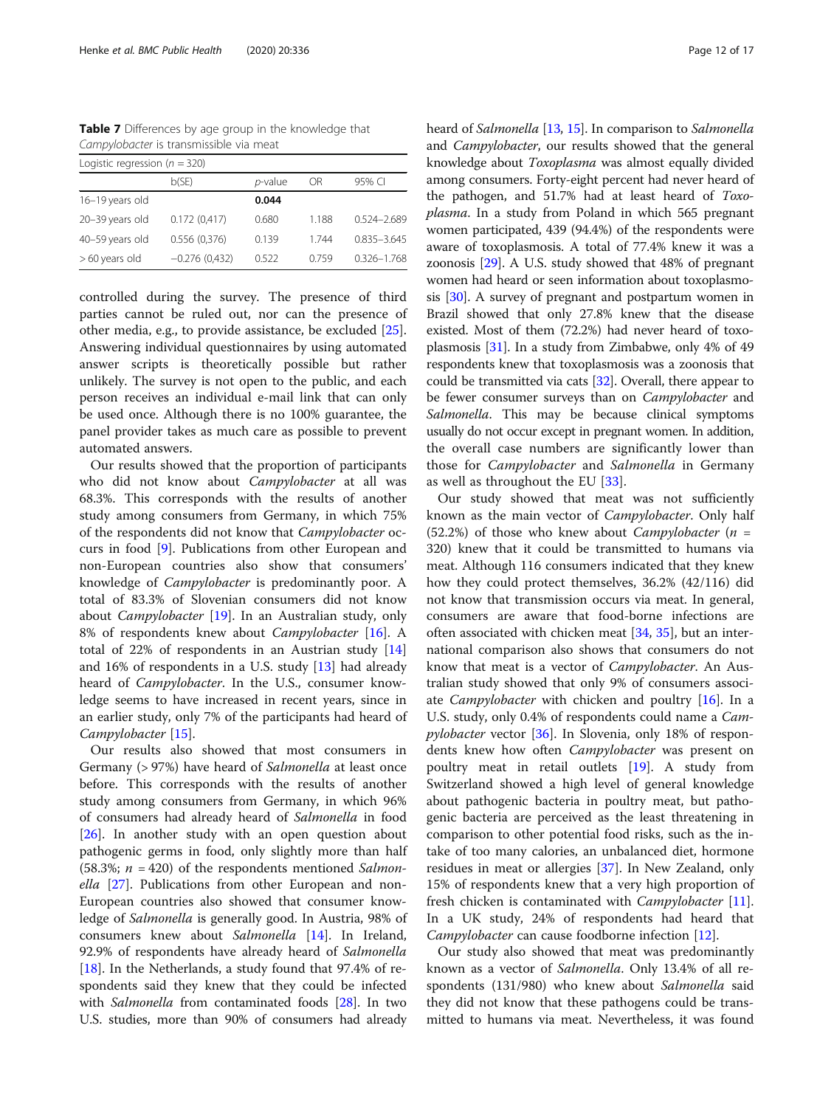<span id="page-11-0"></span>Table 7 Differences by age group in the knowledge that Campylobacter is transmissible via meat

| Logistic regression ( $n = 320$ ) |                 |         |       |             |
|-----------------------------------|-----------------|---------|-------|-------------|
|                                   | b(SE)           | p-value | OR    | 95% CI      |
| 16-19 years old                   |                 | 0.044   |       |             |
| 20-39 years old                   | 0.172(0.417)    | 0.680   | 1.188 | 0.524-2.689 |
| 40-59 years old                   | 0.556(0.376)    | 0.139   | 1744  | 0.835-3.645 |
| > 60 years old                    | $-0.276(0.432)$ | 0.522   | 0759  | 0.326-1.768 |

controlled during the survey. The presence of third parties cannot be ruled out, nor can the presence of other media, e.g., to provide assistance, be excluded [\[25](#page-15-0)]. Answering individual questionnaires by using automated answer scripts is theoretically possible but rather unlikely. The survey is not open to the public, and each person receives an individual e-mail link that can only be used once. Although there is no 100% guarantee, the panel provider takes as much care as possible to prevent automated answers.

Our results showed that the proportion of participants who did not know about Campylobacter at all was 68.3%. This corresponds with the results of another study among consumers from Germany, in which 75% of the respondents did not know that Campylobacter occurs in food [\[9](#page-15-0)]. Publications from other European and non-European countries also show that consumers' knowledge of Campylobacter is predominantly poor. A total of 83.3% of Slovenian consumers did not know about Campylobacter [[19\]](#page-15-0). In an Australian study, only 8% of respondents knew about Campylobacter [[16\]](#page-15-0). A total of 22% of respondents in an Austrian study [[14](#page-15-0)] and 16% of respondents in a U.S. study [[13\]](#page-15-0) had already heard of Campylobacter. In the U.S., consumer knowledge seems to have increased in recent years, since in an earlier study, only 7% of the participants had heard of Campylobacter [\[15](#page-15-0)].

Our results also showed that most consumers in Germany (> 97%) have heard of Salmonella at least once before. This corresponds with the results of another study among consumers from Germany, in which 96% of consumers had already heard of Salmonella in food [[26\]](#page-15-0). In another study with an open question about pathogenic germs in food, only slightly more than half (58.3%;  $n = 420$ ) of the respondents mentioned Salmon-ella [[27\]](#page-15-0). Publications from other European and non-European countries also showed that consumer knowledge of Salmonella is generally good. In Austria, 98% of consumers knew about Salmonella [[14\]](#page-15-0). In Ireland, 92.9% of respondents have already heard of Salmonella [[18\]](#page-15-0). In the Netherlands, a study found that 97.4% of respondents said they knew that they could be infected with *Salmonella* from contaminated foods [\[28](#page-15-0)]. In two U.S. studies, more than 90% of consumers had already heard of Salmonella [[13](#page-15-0), [15\]](#page-15-0). In comparison to Salmonella and Campylobacter, our results showed that the general knowledge about Toxoplasma was almost equally divided among consumers. Forty-eight percent had never heard of the pathogen, and 51.7% had at least heard of Toxoplasma. In a study from Poland in which 565 pregnant women participated, 439 (94.4%) of the respondents were aware of toxoplasmosis. A total of 77.4% knew it was a zoonosis [[29](#page-15-0)]. A U.S. study showed that 48% of pregnant women had heard or seen information about toxoplasmosis [\[30\]](#page-15-0). A survey of pregnant and postpartum women in Brazil showed that only 27.8% knew that the disease existed. Most of them (72.2%) had never heard of toxoplasmosis [[31](#page-15-0)]. In a study from Zimbabwe, only 4% of 49 respondents knew that toxoplasmosis was a zoonosis that could be transmitted via cats [\[32\]](#page-15-0). Overall, there appear to be fewer consumer surveys than on Campylobacter and Salmonella. This may be because clinical symptoms usually do not occur except in pregnant women. In addition, the overall case numbers are significantly lower than those for Campylobacter and Salmonella in Germany as well as throughout the EU [\[33](#page-15-0)].

Our study showed that meat was not sufficiently known as the main vector of Campylobacter. Only half (52.2%) of those who knew about *Campylobacter* ( $n =$ 320) knew that it could be transmitted to humans via meat. Although 116 consumers indicated that they knew how they could protect themselves, 36.2% (42/116) did not know that transmission occurs via meat. In general, consumers are aware that food-borne infections are often associated with chicken meat [[34,](#page-15-0) [35](#page-15-0)], but an international comparison also shows that consumers do not know that meat is a vector of Campylobacter. An Australian study showed that only 9% of consumers associate *Campylobacter* with chicken and poultry [[16](#page-15-0)]. In a U.S. study, only 0.4% of respondents could name a Campylobacter vector [[36](#page-15-0)]. In Slovenia, only 18% of respondents knew how often Campylobacter was present on poultry meat in retail outlets [[19\]](#page-15-0). A study from Switzerland showed a high level of general knowledge about pathogenic bacteria in poultry meat, but pathogenic bacteria are perceived as the least threatening in comparison to other potential food risks, such as the intake of too many calories, an unbalanced diet, hormone residues in meat or allergies [\[37](#page-15-0)]. In New Zealand, only 15% of respondents knew that a very high proportion of fresh chicken is contaminated with Campylobacter [\[11](#page-15-0)]. In a UK study, 24% of respondents had heard that Campylobacter can cause foodborne infection [[12](#page-15-0)].

Our study also showed that meat was predominantly known as a vector of Salmonella. Only 13.4% of all respondents (131/980) who knew about Salmonella said they did not know that these pathogens could be transmitted to humans via meat. Nevertheless, it was found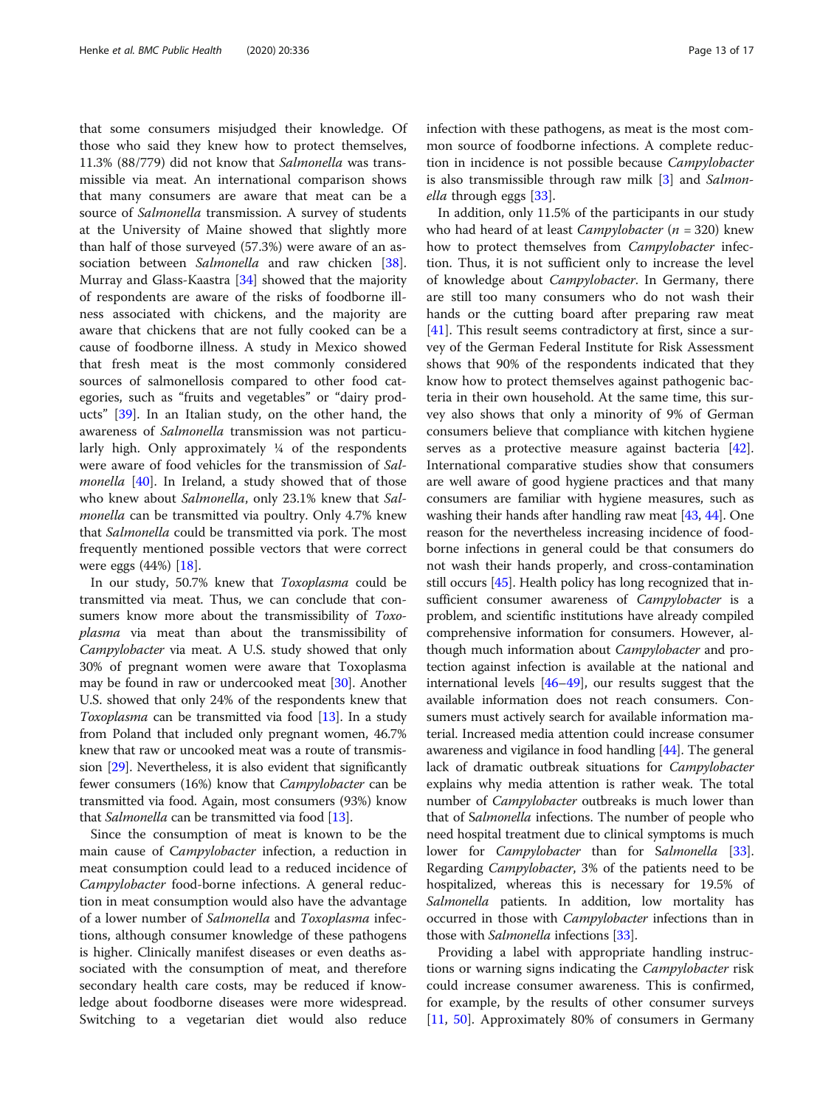that some consumers misjudged their knowledge. Of those who said they knew how to protect themselves, 11.3% (88/779) did not know that Salmonella was transmissible via meat. An international comparison shows that many consumers are aware that meat can be a source of Salmonella transmission. A survey of students at the University of Maine showed that slightly more than half of those surveyed (57.3%) were aware of an as-sociation between Salmonella and raw chicken [\[38](#page-15-0)]. Murray and Glass-Kaastra [[34\]](#page-15-0) showed that the majority of respondents are aware of the risks of foodborne illness associated with chickens, and the majority are aware that chickens that are not fully cooked can be a cause of foodborne illness. A study in Mexico showed that fresh meat is the most commonly considered sources of salmonellosis compared to other food categories, such as "fruits and vegetables" or "dairy products" [[39\]](#page-15-0). In an Italian study, on the other hand, the awareness of Salmonella transmission was not particularly high. Only approximately  $\frac{1}{4}$  of the respondents were aware of food vehicles for the transmission of Sal-monella [\[40\]](#page-15-0). In Ireland, a study showed that of those who knew about Salmonella, only 23.1% knew that Salmonella can be transmitted via poultry. Only 4.7% knew that Salmonella could be transmitted via pork. The most frequently mentioned possible vectors that were correct were eggs (44%) [[18](#page-15-0)].

In our study, 50.7% knew that Toxoplasma could be transmitted via meat. Thus, we can conclude that consumers know more about the transmissibility of Toxoplasma via meat than about the transmissibility of Campylobacter via meat. A U.S. study showed that only 30% of pregnant women were aware that Toxoplasma may be found in raw or undercooked meat [\[30\]](#page-15-0). Another U.S. showed that only 24% of the respondents knew that Toxoplasma can be transmitted via food [\[13\]](#page-15-0). In a study from Poland that included only pregnant women, 46.7% knew that raw or uncooked meat was a route of transmission [[29](#page-15-0)]. Nevertheless, it is also evident that significantly fewer consumers (16%) know that Campylobacter can be transmitted via food. Again, most consumers (93%) know that Salmonella can be transmitted via food [\[13\]](#page-15-0).

Since the consumption of meat is known to be the main cause of Campylobacter infection, a reduction in meat consumption could lead to a reduced incidence of Campylobacter food-borne infections. A general reduction in meat consumption would also have the advantage of a lower number of Salmonella and Toxoplasma infections, although consumer knowledge of these pathogens is higher. Clinically manifest diseases or even deaths associated with the consumption of meat, and therefore secondary health care costs, may be reduced if knowledge about foodborne diseases were more widespread. Switching to a vegetarian diet would also reduce infection with these pathogens, as meat is the most common source of foodborne infections. A complete reduction in incidence is not possible because Campylobacter is also transmissible through raw milk [\[3](#page-14-0)] and Salmon-ella through eggs [[33\]](#page-15-0).

In addition, only 11.5% of the participants in our study who had heard of at least *Campylobacter* ( $n = 320$ ) knew how to protect themselves from *Campylobacter* infection. Thus, it is not sufficient only to increase the level of knowledge about *Campylobacter*. In Germany, there are still too many consumers who do not wash their hands or the cutting board after preparing raw meat [[41\]](#page-15-0). This result seems contradictory at first, since a survey of the German Federal Institute for Risk Assessment shows that 90% of the respondents indicated that they know how to protect themselves against pathogenic bacteria in their own household. At the same time, this survey also shows that only a minority of 9% of German consumers believe that compliance with kitchen hygiene serves as a protective measure against bacteria [\[42](#page-15-0)]. International comparative studies show that consumers are well aware of good hygiene practices and that many consumers are familiar with hygiene measures, such as washing their hands after handling raw meat [\[43,](#page-15-0) [44](#page-15-0)]. One reason for the nevertheless increasing incidence of foodborne infections in general could be that consumers do not wash their hands properly, and cross-contamination still occurs [\[45](#page-15-0)]. Health policy has long recognized that insufficient consumer awareness of Campylobacter is a problem, and scientific institutions have already compiled comprehensive information for consumers. However, although much information about Campylobacter and protection against infection is available at the national and international levels [\[46](#page-15-0)–[49](#page-16-0)], our results suggest that the available information does not reach consumers. Consumers must actively search for available information material. Increased media attention could increase consumer awareness and vigilance in food handling [[44](#page-15-0)]. The general lack of dramatic outbreak situations for Campylobacter explains why media attention is rather weak. The total number of *Campylobacter* outbreaks is much lower than that of Salmonella infections. The number of people who need hospital treatment due to clinical symptoms is much lower for *Campylobacter* than for *Salmonella* [[33](#page-15-0)]. Regarding Campylobacter, 3% of the patients need to be hospitalized, whereas this is necessary for 19.5% of Salmonella patients. In addition, low mortality has occurred in those with *Campylobacter* infections than in those with *Salmonella* infections [[33](#page-15-0)].

Providing a label with appropriate handling instructions or warning signs indicating the Campylobacter risk could increase consumer awareness. This is confirmed, for example, by the results of other consumer surveys [[11,](#page-15-0) [50\]](#page-16-0). Approximately 80% of consumers in Germany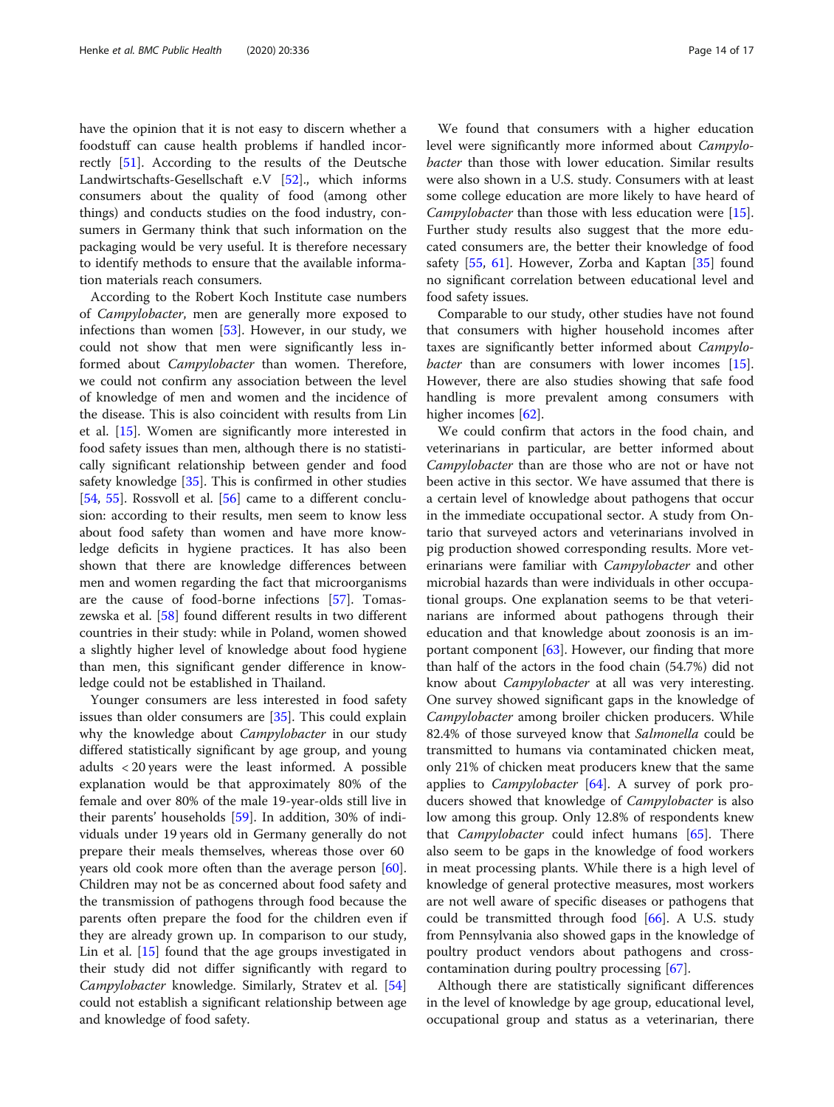have the opinion that it is not easy to discern whether a foodstuff can cause health problems if handled incorrectly [[51\]](#page-16-0). According to the results of the Deutsche Landwirtschafts-Gesellschaft e.V [[52\]](#page-16-0)., which informs consumers about the quality of food (among other things) and conducts studies on the food industry, consumers in Germany think that such information on the packaging would be very useful. It is therefore necessary to identify methods to ensure that the available information materials reach consumers.

According to the Robert Koch Institute case numbers of Campylobacter, men are generally more exposed to infections than women  $[53]$  $[53]$  $[53]$ . However, in our study, we could not show that men were significantly less informed about *Campylobacter* than women. Therefore, we could not confirm any association between the level of knowledge of men and women and the incidence of the disease. This is also coincident with results from Lin et al. [\[15](#page-15-0)]. Women are significantly more interested in food safety issues than men, although there is no statistically significant relationship between gender and food safety knowledge [[35](#page-15-0)]. This is confirmed in other studies [[54,](#page-16-0) [55](#page-16-0)]. Rossvoll et al. [\[56\]](#page-16-0) came to a different conclusion: according to their results, men seem to know less about food safety than women and have more knowledge deficits in hygiene practices. It has also been shown that there are knowledge differences between men and women regarding the fact that microorganisms are the cause of food-borne infections [[57](#page-16-0)]. Tomaszewska et al. [\[58\]](#page-16-0) found different results in two different countries in their study: while in Poland, women showed a slightly higher level of knowledge about food hygiene than men, this significant gender difference in knowledge could not be established in Thailand.

Younger consumers are less interested in food safety issues than older consumers are [[35](#page-15-0)]. This could explain why the knowledge about *Campylobacter* in our study differed statistically significant by age group, and young adults < 20 years were the least informed. A possible explanation would be that approximately 80% of the female and over 80% of the male 19-year-olds still live in their parents' households [\[59](#page-16-0)]. In addition, 30% of individuals under 19 years old in Germany generally do not prepare their meals themselves, whereas those over 60 years old cook more often than the average person [\[60](#page-16-0)]. Children may not be as concerned about food safety and the transmission of pathogens through food because the parents often prepare the food for the children even if they are already grown up. In comparison to our study, Lin et al. [\[15\]](#page-15-0) found that the age groups investigated in their study did not differ significantly with regard to Campylobacter knowledge. Similarly, Stratev et al. [[54](#page-16-0)] could not establish a significant relationship between age and knowledge of food safety.

We found that consumers with a higher education level were significantly more informed about Campylobacter than those with lower education. Similar results were also shown in a U.S. study. Consumers with at least some college education are more likely to have heard of Campylobacter than those with less education were [\[15](#page-15-0)]. Further study results also suggest that the more educated consumers are, the better their knowledge of food safety [\[55,](#page-16-0) [61\]](#page-16-0). However, Zorba and Kaptan [\[35](#page-15-0)] found no significant correlation between educational level and food safety issues.

Comparable to our study, other studies have not found that consumers with higher household incomes after taxes are significantly better informed about Campylo-bacter than are consumers with lower incomes [\[15](#page-15-0)]. However, there are also studies showing that safe food handling is more prevalent among consumers with higher incomes [[62](#page-16-0)].

We could confirm that actors in the food chain, and veterinarians in particular, are better informed about Campylobacter than are those who are not or have not been active in this sector. We have assumed that there is a certain level of knowledge about pathogens that occur in the immediate occupational sector. A study from Ontario that surveyed actors and veterinarians involved in pig production showed corresponding results. More veterinarians were familiar with Campylobacter and other microbial hazards than were individuals in other occupational groups. One explanation seems to be that veterinarians are informed about pathogens through their education and that knowledge about zoonosis is an important component  $[63]$  $[63]$ . However, our finding that more than half of the actors in the food chain (54.7%) did not know about Campylobacter at all was very interesting. One survey showed significant gaps in the knowledge of Campylobacter among broiler chicken producers. While 82.4% of those surveyed know that Salmonella could be transmitted to humans via contaminated chicken meat, only 21% of chicken meat producers knew that the same applies to *Campylobacter*  $[64]$  $[64]$ . A survey of pork producers showed that knowledge of Campylobacter is also low among this group. Only 12.8% of respondents knew that Campylobacter could infect humans [\[65\]](#page-16-0). There also seem to be gaps in the knowledge of food workers in meat processing plants. While there is a high level of knowledge of general protective measures, most workers are not well aware of specific diseases or pathogens that could be transmitted through food  $[66]$ . A U.S. study from Pennsylvania also showed gaps in the knowledge of poultry product vendors about pathogens and crosscontamination during poultry processing [\[67](#page-16-0)].

Although there are statistically significant differences in the level of knowledge by age group, educational level, occupational group and status as a veterinarian, there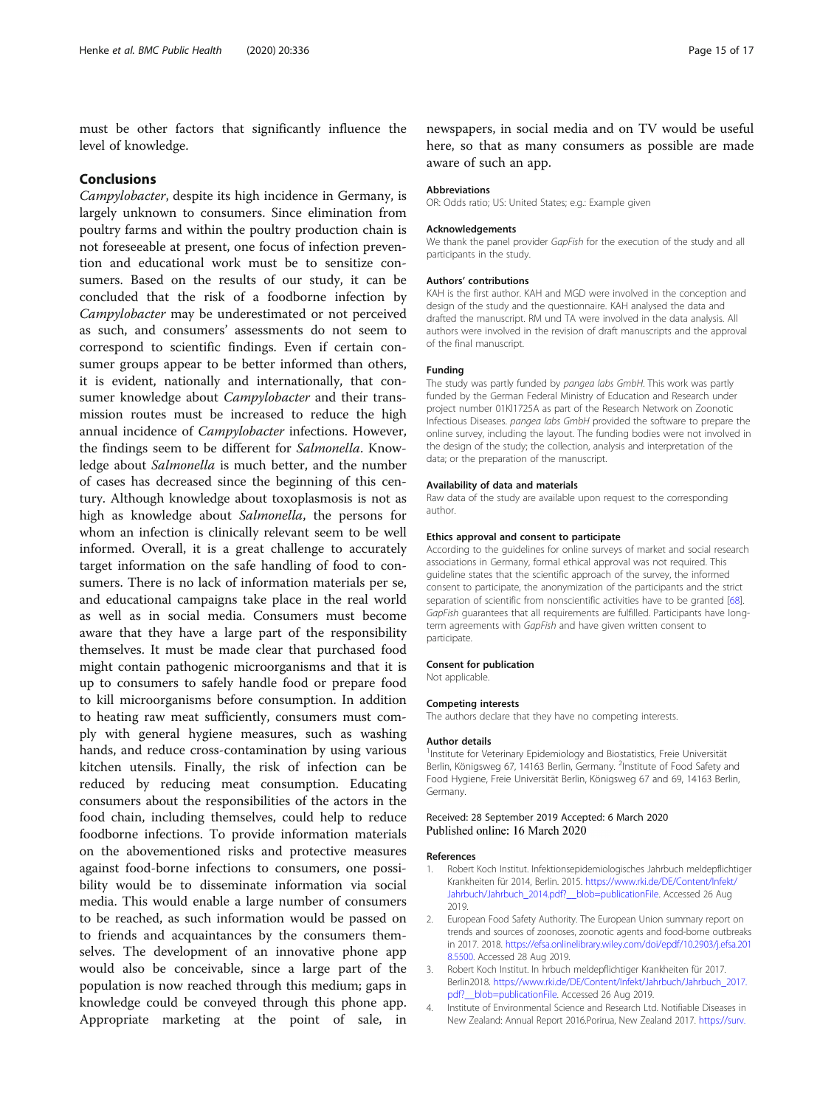<span id="page-14-0"></span>must be other factors that significantly influence the level of knowledge.

# Conclusions

Campylobacter, despite its high incidence in Germany, is largely unknown to consumers. Since elimination from poultry farms and within the poultry production chain is not foreseeable at present, one focus of infection prevention and educational work must be to sensitize consumers. Based on the results of our study, it can be concluded that the risk of a foodborne infection by Campylobacter may be underestimated or not perceived as such, and consumers' assessments do not seem to correspond to scientific findings. Even if certain consumer groups appear to be better informed than others, it is evident, nationally and internationally, that consumer knowledge about *Campylobacter* and their transmission routes must be increased to reduce the high annual incidence of Campylobacter infections. However, the findings seem to be different for Salmonella. Knowledge about Salmonella is much better, and the number of cases has decreased since the beginning of this century. Although knowledge about toxoplasmosis is not as high as knowledge about Salmonella, the persons for whom an infection is clinically relevant seem to be well informed. Overall, it is a great challenge to accurately target information on the safe handling of food to consumers. There is no lack of information materials per se, and educational campaigns take place in the real world as well as in social media. Consumers must become aware that they have a large part of the responsibility themselves. It must be made clear that purchased food might contain pathogenic microorganisms and that it is up to consumers to safely handle food or prepare food to kill microorganisms before consumption. In addition to heating raw meat sufficiently, consumers must comply with general hygiene measures, such as washing hands, and reduce cross-contamination by using various kitchen utensils. Finally, the risk of infection can be reduced by reducing meat consumption. Educating consumers about the responsibilities of the actors in the food chain, including themselves, could help to reduce foodborne infections. To provide information materials on the abovementioned risks and protective measures against food-borne infections to consumers, one possibility would be to disseminate information via social media. This would enable a large number of consumers to be reached, as such information would be passed on to friends and acquaintances by the consumers themselves. The development of an innovative phone app would also be conceivable, since a large part of the population is now reached through this medium; gaps in knowledge could be conveyed through this phone app. Appropriate marketing at the point of sale, in

newspapers, in social media and on TV would be useful here, so that as many consumers as possible are made aware of such an app.

#### Abbreviations

OR: Odds ratio; US: United States; e.g.: Example given

#### Acknowledgements

We thank the panel provider GapFish for the execution of the study and all participants in the study.

#### Authors' contributions

KAH is the first author. KAH and MGD were involved in the conception and design of the study and the questionnaire. KAH analysed the data and drafted the manuscript. RM und TA were involved in the data analysis. All authors were involved in the revision of draft manuscripts and the approval of the final manuscript.

#### Funding

The study was partly funded by pangea labs GmbH. This work was partly funded by the German Federal Ministry of Education and Research under project number 01Kl1725A as part of the Research Network on Zoonotic Infectious Diseases. pangea labs GmbH provided the software to prepare the online survey, including the layout. The funding bodies were not involved in the design of the study; the collection, analysis and interpretation of the data; or the preparation of the manuscript.

#### Availability of data and materials

Raw data of the study are available upon request to the corresponding author.

#### Ethics approval and consent to participate

According to the guidelines for online surveys of market and social research associations in Germany, formal ethical approval was not required. This guideline states that the scientific approach of the survey, the informed consent to participate, the anonymization of the participants and the strict separation of scientific from nonscientific activities have to be granted [\[68\]](#page-16-0). GapFish guarantees that all requirements are fulfilled. Participants have longterm agreements with GapFish and have given written consent to participate.

#### Consent for publication

Not applicable.

#### Competing interests

The authors declare that they have no competing interests.

#### Author details

<sup>1</sup>Institute for Veterinary Epidemiology and Biostatistics, Freie Universität Berlin, Königsweg 67, 14163 Berlin, Germany. <sup>2</sup>Institute of Food Safety and Food Hygiene, Freie Universität Berlin, Königsweg 67 and 69, 14163 Berlin, Germany.

#### Received: 28 September 2019 Accepted: 6 March 2020 Published online: 16 March 2020

#### References

- 1. Robert Koch Institut. Infektionsepidemiologisches Jahrbuch meldepflichtiger Krankheiten für 2014, Berlin. 2015. [https://www.rki.de/DE/Content/Infekt/](https://www.rki.de/DE/Content/Infekt/Jahrbuch/Jahrbuch_2016.pdf?__blob=publicationFile) [Jahrbuch/Jahrbuch\\_2014.pdf?\\_\\_blob=publicationFile.](https://www.rki.de/DE/Content/Infekt/Jahrbuch/Jahrbuch_2016.pdf?__blob=publicationFile) Accessed 26 Aug 2019.
- 2. European Food Safety Authority. The European Union summary report on trends and sources of zoonoses, zoonotic agents and food-borne outbreaks in 2017. 2018. [https://efsa.onlinelibrary.wiley.com/doi/epdf/10.2903/j.efsa.201](https://efsa.onlinelibrary.wiley.com/doi/epdf/10.2903/j.efsa.2018.5500) [8.5500](https://efsa.onlinelibrary.wiley.com/doi/epdf/10.2903/j.efsa.2018.5500). Accessed 28 Aug 2019.
- 3. Robert Koch Institut. In hrbuch meldepflichtiger Krankheiten für 2017. Berlin2018. [https://www.rki.de/DE/Content/Infekt/Jahrbuch/Jahrbuch\\_2017.](https://www.rki.de/DE/Content/Infekt/Jahrbuch/Jahrbuch_2016.pdf?__blob=publicationFile) [pdf?\\_\\_blob=publicationFile.](https://www.rki.de/DE/Content/Infekt/Jahrbuch/Jahrbuch_2016.pdf?__blob=publicationFile) Accessed 26 Aug 2019.
- 4. Institute of Environmental Science and Research Ltd. Notifiable Diseases in New Zealand: Annual Report 2016.Porirua, New Zealand 2017. [https://surv.](https://surv.esr.cri.nz/PDFsurveillance/AnnualRpt/AnnualSurv/2016/2016AnnualNDReportFinal.pdf)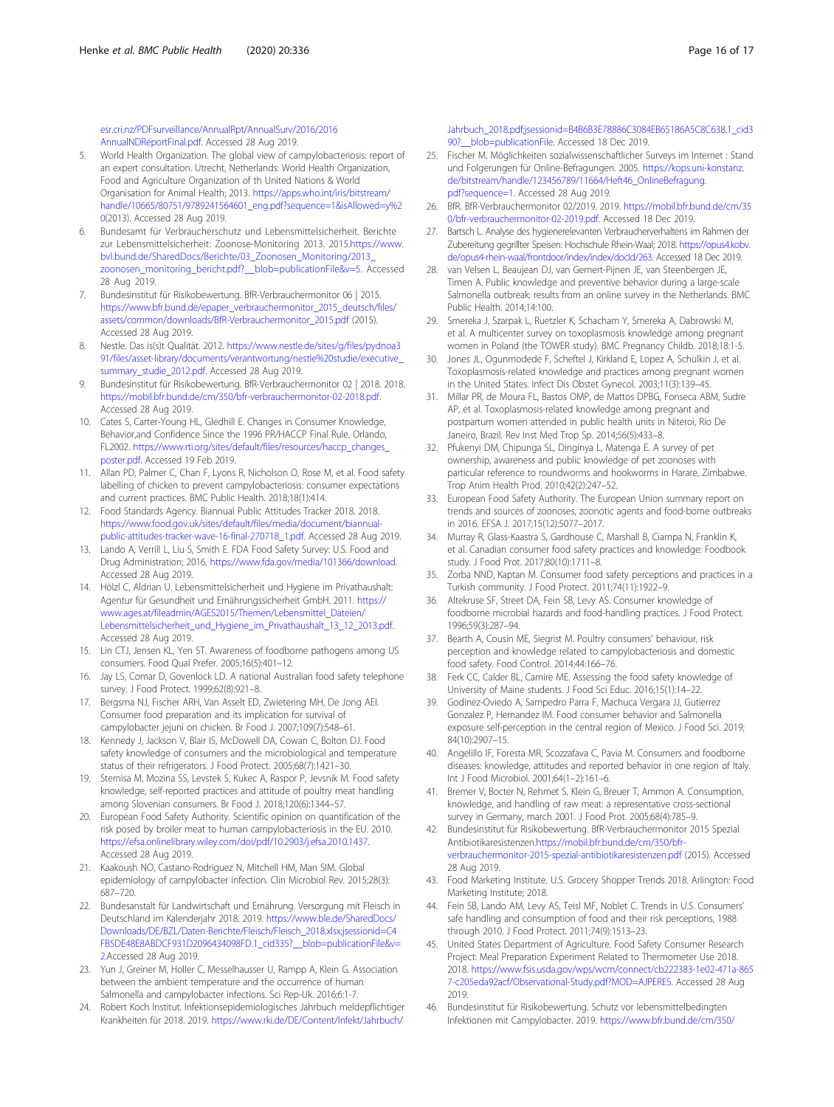<span id="page-15-0"></span>[esr.cri.nz/PDFsurveillance/AnnualRpt/AnnualSurv/2016/2016](https://surv.esr.cri.nz/PDFsurveillance/AnnualRpt/AnnualSurv/2016/2016AnnualNDReportFinal.pdf) [AnnualNDReportFinal.pdf.](https://surv.esr.cri.nz/PDFsurveillance/AnnualRpt/AnnualSurv/2016/2016AnnualNDReportFinal.pdf) Accessed 28 Aug 2019.

- 5. World Health Organization. The global view of campylobacteriosis: report of an expert consultation. Utrecht, Netherlands: World Health Organization, Food and Agriculture Organization of th United Nations & World Organisation for Animal Health; 2013. [https://apps.who.int/iris/bitstream/](https://apps.who.int/iris/bitstream/handle/10665/80751/9789241564601_eng.pdf?sequence=1&isAllowed=y%20) [handle/10665/80751/9789241564601\\_eng.pdf?sequence=1&isAllowed=y%2](https://apps.who.int/iris/bitstream/handle/10665/80751/9789241564601_eng.pdf?sequence=1&isAllowed=y%20) [0](https://apps.who.int/iris/bitstream/handle/10665/80751/9789241564601_eng.pdf?sequence=1&isAllowed=y%20)(2013). Accessed 28 Aug 2019.
- 6. Bundesamt für Verbraucherschutz und Lebensmittelsicherheit. Berichte zur Lebensmittelsicherheit: Zoonose-Monitoring 2013. 2015[.https://www.](https://www.bvl.bund.de/SharedDocs/Berichte/03_Zoonosen_Monitoring/2013_zoonosen_monitoring_bericht.pdf?__blob=publicationFile&v=5) [bvl.bund.de/SharedDocs/Berichte/03\\_Zoonosen\\_Monitoring/2013\\_](https://www.bvl.bund.de/SharedDocs/Berichte/03_Zoonosen_Monitoring/2013_zoonosen_monitoring_bericht.pdf?__blob=publicationFile&v=5) [zoonosen\\_monitoring\\_bericht.pdf?\\_\\_blob=publicationFile&v=5.](https://www.bvl.bund.de/SharedDocs/Berichte/03_Zoonosen_Monitoring/2013_zoonosen_monitoring_bericht.pdf?__blob=publicationFile&v=5) Accessed 28 Aug 2019.
- 7. Bundesinstitut für Risikobewertung. BfR-Verbrauchermonitor 06 | 2015. [https://www.bfr.bund.de/epaper\\_verbrauchermonitor\\_2015\\_deutsch/files/](https://www.bfr.bund.de/epaper_verbrauchermonitor_2015_deutsch/files/assets/common/downloads/BfR-Verbrauchermonitor_2015.pdf) [assets/common/downloads/BfR-Verbrauchermonitor\\_2015.pdf](https://www.bfr.bund.de/epaper_verbrauchermonitor_2015_deutsch/files/assets/common/downloads/BfR-Verbrauchermonitor_2015.pdf) (2015). Accessed 28 Aug 2019.
- 8. Nestle. Das is(s)t Qualität. 2012. [https://www.nestle.de/sites/g/files/pydnoa3](https://www.nestle.de/sites/g/files/pydnoa391/files/asset-library/documents/verantwortung/nestle%20studie/executive_summary_studie_2012.pdf) [91/files/asset-library/documents/verantwortung/nestle%20studie/executive\\_](https://www.nestle.de/sites/g/files/pydnoa391/files/asset-library/documents/verantwortung/nestle%20studie/executive_summary_studie_2012.pdf) [summary\\_studie\\_2012.pdf.](https://www.nestle.de/sites/g/files/pydnoa391/files/asset-library/documents/verantwortung/nestle%20studie/executive_summary_studie_2012.pdf) Accessed 28 Aug 2019.
- 9. Bundesinstitut für Risikobewertung. BfR-Verbrauchermonitor 02 | 2018. 2018. [https://mobil.bfr.bund.de/cm/350/bfr-verbrauchermonitor-02-2018.pdf](https://mobil.bfr.bund.de/cm/350/bfr-verbrauchermonitor-02-2019.pdf). Accessed 28 Aug 2019.
- 10. Cates S, Carter-Young HL, Gledhill E. Changes in Consumer Knowledge, Behavior,and Confidence Since the 1996 PR/HACCP Final Rule. Orlando, FL2002. [https://www.rti.org/sites/default/files/resources/haccp\\_changes\\_](https://www.rti.org/sites/default/files/resources/haccp_changes_poster.pdf) [poster.pdf](https://www.rti.org/sites/default/files/resources/haccp_changes_poster.pdf). Accessed 19 Feb 2019.
- 11. Allan PD, Palmer C, Chan F, Lyons R, Nicholson O, Rose M, et al. Food safety labelling of chicken to prevent campylobacteriosis: consumer expectations and current practices. BMC Public Health. 2018;18(1):414.
- 12. Food Standards Agency. Biannual Public Attitudes Tracker 2018. 2018. [https://www.food.gov.uk/sites/default/files/media/document/biannual](https://www.food.gov.uk/sites/default/files/media/document/biannual-public-attitudes-tracker-wave-16-final-270718_1.pdf)[public-attitudes-tracker-wave-16-final-270718\\_1.pdf](https://www.food.gov.uk/sites/default/files/media/document/biannual-public-attitudes-tracker-wave-16-final-270718_1.pdf). Accessed 28 Aug 2019.
- 13. Lando A, Verrill L, Liu S, Smith E. FDA Food Safety Survey: U.S. Food and Drug Administration; 2016. [https://www.fda.gov/media/101366/download.](https://www.fda.gov/media/101366/download) Accessed 28 Aug 2019.
- 14. Hölzl C, Aldrian U. Lebensmittelsicherheit und Hygiene im Privathaushalt: Agentur für Gesundheit und Ernährungssicherheit GmbH. 2011. [https://](https://www.ages.at/fileadmin/AGES2015/Themen/Lebensmittel_Dateien/Lebensmittelsicherheit_und_Hygiene_im_Privathaushalt_13_12_2013.pdf) [www.ages.at/fileadmin/AGES2015/Themen/Lebensmittel\\_Dateien/](https://www.ages.at/fileadmin/AGES2015/Themen/Lebensmittel_Dateien/Lebensmittelsicherheit_und_Hygiene_im_Privathaushalt_13_12_2013.pdf) [Lebensmittelsicherheit\\_und\\_Hygiene\\_im\\_Privathaushalt\\_13\\_12\\_2013.pdf](https://www.ages.at/fileadmin/AGES2015/Themen/Lebensmittel_Dateien/Lebensmittelsicherheit_und_Hygiene_im_Privathaushalt_13_12_2013.pdf). Accessed 28 Aug 2019.
- 15. Lin CTJ, Jensen KL, Yen ST. Awareness of foodborne pathogens among US consumers. Food Qual Prefer. 2005;16(5):401–12.
- 16. Jay LS, Comar D, Govenlock LD. A national Australian food safety telephone survey. J Food Protect. 1999;62(8):921–8.
- 17. Bergsma NJ, Fischer ARH, Van Asselt ED, Zwietering MH, De Jong AEI. Consumer food preparation and its implication for survival of campylobacter jejuni on chicken. Br Food J. 2007;109(7):548–61.
- 18. Kennedy J, Jackson V, Blair IS, McDowell DA, Cowan C, Bolton DJ. Food safety knowledge of consumers and the microbiological and temperature status of their refrigerators. J Food Protect. 2005;68(7):1421–30.
- 19. Sternisa M, Mozina SS, Levstek S, Kukec A, Raspor P, Jevsnik M. Food safety knowledge, self-reported practices and attitude of poultry meat handling among Slovenian consumers. Br Food J. 2018;120(6):1344–57.
- 20. European Food Safety Authority. Scientific opinion on quantification of the risk posed by broiler meat to human campylobacteriosis in the EU. 2010. [https://efsa.onlinelibrary.wiley.com/doi/pdf/10.2903/j.efsa.2010.1437.](https://efsa.onlinelibrary.wiley.com/doi/pdf/10.2903/j.efsa.2010.1437) Accessed 28 Aug 2019.
- 21. Kaakoush NO, Castano-Rodriguez N, Mitchell HM, Man SIM. Global epidemiology of campylobacter infection. Clin Microbiol Rev. 2015;28(3): 687–720.
- 22. Bundesanstalt für Landwirtschaft und Ernährung. Versorgung mit Fleisch in Deutschland im Kalenderjahr 2018. 2019. [https://www.ble.de/SharedDocs/](https://www.ble.de/SharedDocs/Downloads/DE/BZL/Daten-Berichte/Fleisch/Fleisch_2018.xlsx;jsessionid=C4FB5DE48E8ABDCF931D2096434098FD.1_cid335?__blob=publicationFile&v=2) [Downloads/DE/BZL/Daten-Berichte/Fleisch/Fleisch\\_2018.xlsx;jsessionid=C4](https://www.ble.de/SharedDocs/Downloads/DE/BZL/Daten-Berichte/Fleisch/Fleisch_2018.xlsx;jsessionid=C4FB5DE48E8ABDCF931D2096434098FD.1_cid335?__blob=publicationFile&v=2) [FB5DE48E8ABDCF931D2096434098FD.1\\_cid335?\\_\\_blob=publicationFile&v=](https://www.ble.de/SharedDocs/Downloads/DE/BZL/Daten-Berichte/Fleisch/Fleisch_2018.xlsx;jsessionid=C4FB5DE48E8ABDCF931D2096434098FD.1_cid335?__blob=publicationFile&v=2) [2](https://www.ble.de/SharedDocs/Downloads/DE/BZL/Daten-Berichte/Fleisch/Fleisch_2018.xlsx;jsessionid=C4FB5DE48E8ABDCF931D2096434098FD.1_cid335?__blob=publicationFile&v=2).Accessed 28 Aug 2019.
- 23. Yun J, Greiner M, Holler C, Messelhausser U, Rampp A, Klein G. Association between the ambient temperature and the occurrence of human Salmonella and campylobacter infections. Sci Rep-Uk. 2016;6:1-7.
- 24. Robert Koch Institut. Infektionsepidemiologisches Jahrbuch meldepflichtiger Krankheiten für 2018. 2019. [https://www.rki.de/DE/Content/Infekt/Jahrbuch/](https://www.rki.de/DE/Content/Infekt/Jahrbuch/Jahrbuch_2016.pdf?__blob=publicationFile)

[Jahrbuch\\_2018.pdf;jsessionid=B4B6B3E78886C3084EB65186A5C8C638.1\\_cid3](https://www.rki.de/DE/Content/Infekt/Jahrbuch/Jahrbuch_2016.pdf?__blob=publicationFile) 90?\_blob=publicationFile. Accessed 18 Dec 2019.

- 25. Fischer M. Möglichkeiten sozialwissenschaftlicher Surveys im Internet : Stand und Folgerungen für Online-Befragungen. 2005. [https://kops.uni-konstanz.](https://kops.uni-konstanz.de/bitstream/handle/123456789/11664/Heft46_OnlineBefragung.pdf?sequence=1) [de/bitstream/handle/123456789/11664/Heft46\\_OnlineBefragung.](https://kops.uni-konstanz.de/bitstream/handle/123456789/11664/Heft46_OnlineBefragung.pdf?sequence=1) [pdf?sequence=1.](https://kops.uni-konstanz.de/bitstream/handle/123456789/11664/Heft46_OnlineBefragung.pdf?sequence=1) Accessed 28 Aug 2019.
- 26. BfR. BfR-Verbrauchermonitor 02/2019. 2019. [https://mobil.bfr.bund.de/cm/35](https://mobil.bfr.bund.de/cm/350/bfr-verbrauchermonitor-02-2019.pdf) [0/bfr-verbrauchermonitor-02-2019.pdf.](https://mobil.bfr.bund.de/cm/350/bfr-verbrauchermonitor-02-2019.pdf) Accessed 18 Dec 2019.
- 27. Bartsch L. Analyse des hygienerelevanten Verbraucherverhaltens im Rahmen der Zubereitung gegrillter Speisen: Hochschule Rhein-Waal; 2018. [https://opus4.kobv.](https://opus4.kobv.de/opus4-rhein-waal/frontdoor/index/index/docId/263) [de/opus4-rhein-waal/frontdoor/index/index/docId/263.](https://opus4.kobv.de/opus4-rhein-waal/frontdoor/index/index/docId/263) Accessed 18 Dec 2019.
- 28. van Velsen L, Beaujean DJ, van Gemert-Pijnen JE, van Steenbergen JE, Timen A. Public knowledge and preventive behavior during a large-scale Salmonella outbreak: results from an online survey in the Netherlands. BMC Public Health. 2014;14:100.
- 29. Smereka J, Szarpak L, Ruetzler K, Schacham Y, Smereka A, Dabrowski M, et al. A multicenter survey on toxoplasmosis knowledge among pregnant women in Poland (the TOWER study). BMC Pregnancy Childb. 2018;18:1-5.
- 30. Jones JL, Ogunmodede F, Scheftel J, Kirkland E, Lopez A, Schulkin J, et al. Toxoplasmosis-related knowledge and practices among pregnant women in the United States. Infect Dis Obstet Gynecol. 2003;11(3):139–45.
- 31. Millar PR, de Moura FL, Bastos OMP, de Mattos DPBG, Fonseca ABM, Sudre AP, et al. Toxoplasmosis-related knowledge among pregnant and postpartum women attended in public health units in Niteroi, Rio De Janeiro, Brazil. Rev Inst Med Trop Sp. 2014;56(5):433–8.
- 32. Pfukenyi DM, Chipunga SL, Dinginya L, Matenga E. A survey of pet ownership, awareness and public knowledge of pet zoonoses with particular reference to roundworms and hookworms in Harare, Zimbabwe. Trop Anim Health Prod. 2010;42(2):247–52.
- 33. European Food Safety Authority. The European Union summary report on trends and sources of zoonoses, zoonotic agents and food-borne outbreaks in 2016. EFSA J. 2017;15(12):5077–2017.
- 34. Murray R, Glass-Kaastra S, Gardhouse C, Marshall B, Ciampa N, Franklin K, et al. Canadian consumer food safety practices and knowledge: Foodbook study. J Food Prot. 2017;80(10):1711–8.
- Zorba NND, Kaptan M. Consumer food safety perceptions and practices in a Turkish community. J Food Protect. 2011;74(11):1922–9.
- 36. Altekruse SF, Street DA, Fein SB, Levy AS. Consumer knowledge of foodborne microbial hazards and food-handling practices. J Food Protect. 1996;59(3):287–94.
- 37. Bearth A, Cousin ME, Siegrist M. Poultry consumers' behaviour, risk perception and knowledge related to campylobacteriosis and domestic food safety. Food Control. 2014;44:166–76.
- 38. Ferk CC, Calder BL, Camire ME. Assessing the food safety knowledge of University of Maine students. J Food Sci Educ. 2016;15(1):14–22.
- 39. Godinez-Oviedo A, Sampedro Parra F, Machuca Vergara JJ, Gutierrez Gonzalez P, Hernandez IM. Food consumer behavior and Salmonella exposure self-perception in the central region of Mexico. J Food Sci. 2019; 84(10):2907–15.
- 40. Angelillo IF, Foresta MR, Scozzafava C, Pavia M. Consumers and foodborne diseases: knowledge, attitudes and reported behavior in one region of Italy. Int J Food Microbiol. 2001;64(1–2):161–6.
- 41. Bremer V, Bocter N, Rehmet S, Klein G, Breuer T, Ammon A. Consumption, knowledge, and handling of raw meat: a representative cross-sectional survey in Germany, march 2001. J Food Prot. 2005;68(4):785–9.
- 42. Bundesinstitut für Risikobewertung. BfR-Verbrauchermonitor 2015 Spezial Antibiotikaresistenzen.[https://mobil.bfr.bund.de/cm/350/bfr](https://mobil.bfr.bund.de/cm/350/bfr-verbrauchermonitor-2015-spezial-antibiotikaresistenzen.pdf)[verbrauchermonitor-2015-spezial-antibiotikaresistenzen.pdf](https://mobil.bfr.bund.de/cm/350/bfr-verbrauchermonitor-2015-spezial-antibiotikaresistenzen.pdf) (2015). Accessed 28 Aug 2019.
- 43. Food Marketing Institute. U.S. Grocery Shopper Trends 2018. Arlington: Food Marketing Institute; 2018.
- 44. Fein SB, Lando AM, Levy AS, Teisl MF, Noblet C. Trends in U.S. Consumers' safe handling and consumption of food and their risk perceptions, 1988 through 2010. J Food Protect. 2011;74(9):1513–23.
- 45. United States Department of Agriculture. Food Safety Consumer Research Project: Meal Preparation Experiment Related to Thermometer Use 2018. 2018. [https://www.fsis.usda.gov/wps/wcm/connect/cb222383-1e02-471a-865](https://www.fsis.usda.gov/wps/wcm/connect/cb222383-1e02-471a-8657-c205eda92acf/Observational-Study.pdf?MOD=AJPERES) [7-c205eda92acf/Observational-Study.pdf?MOD=AJPERES.](https://www.fsis.usda.gov/wps/wcm/connect/cb222383-1e02-471a-8657-c205eda92acf/Observational-Study.pdf?MOD=AJPERES) Accessed 28 Aug 2019.
- 46. Bundesinstitut für Risikobewertung. Schutz vor lebensmittelbedingten Infektionen mit Campylobacter. 2019. [https://www.bfr.bund.de/cm/350/](https://www.bfr.bund.de/cm/350/verbrauchertipps-schutz-vor-lebensmittelbedingten-infektionen-mit-campylobacter.pdf)